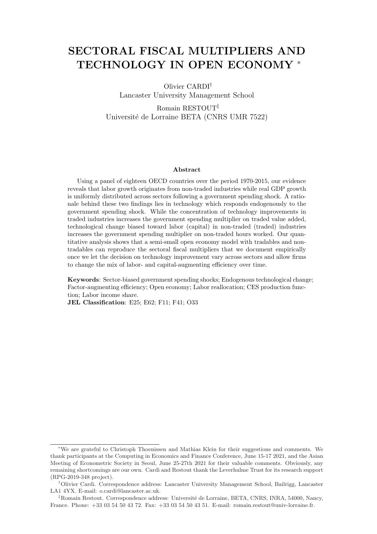# SECTORAL FISCAL MULTIPLIERS AND TECHNOLOGY IN OPEN ECONOMY <sup>∗</sup>

Olivier CARDI† Lancaster University Management School Romain RESTOUT‡ Université de Lorraine BETA (CNRS UMR 7522)

#### Abstract

Using a panel of eighteen OECD countries over the period 1970-2015, our evidence reveals that labor growth originates from non-traded industries while real GDP growth is uniformly distributed across sectors following a government spending shock. A rationale behind these two findings lies in technology which responds endogenously to the government spending shock. While the concentration of technology improvements in traded industries increases the government spending multiplier on traded value added, technological change biased toward labor (capital) in non-traded (traded) industries increases the government spending multiplier on non-traded hours worked. Our quantitative analysis shows that a semi-small open economy model with tradables and nontradables can reproduce the sectoral fiscal multipliers that we document empirically once we let the decision on technology improvement vary across sectors and allow firms to change the mix of labor- and capital-augmenting efficiency over time.

Keywords: Sector-biased government spending shocks; Endogenous technological change; Factor-augmenting efficiency; Open economy; Labor reallocation; CES production function; Labor income share.

JEL Classification: E25; E62; F11; F41; O33

<sup>∗</sup>We are grateful to Christoph Thoenissen and Mathias Klein for their suggestions and comments. We thank participants at the Computing in Economics and Finance Conference, June 15-17 2021, and the Asian Meeting of Econometric Society in Seoul, June 25-27th 2021 for their valuable comments. Obviously, any remaining shortcomings are our own. Cardi and Restout thank the Leverhulme Trust for its research support (RPG-2019-348 project).

<sup>†</sup>Olivier Cardi. Correspondence address: Lancaster University Management School, Bailrigg, Lancaster LA1 4YX. E-mail: o.cardi@lancaster.ac.uk.

<sup>&</sup>lt;sup>‡</sup>Romain Restout. Correspondence address: Université de Lorraine, BETA, CNRS, INRA, 54000, Nancy, France. Phone: +33 03 54 50 43 72. Fax: +33 03 54 50 43 51. E-mail: romain.restout@univ-lorraine.fr.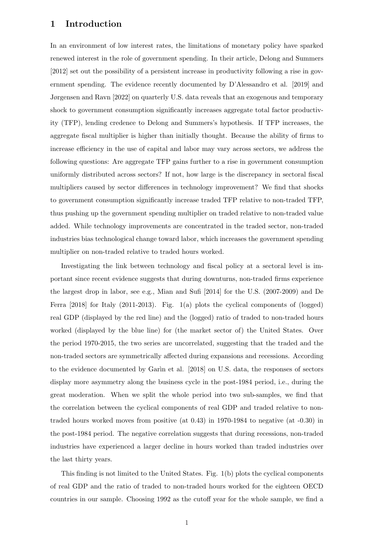## 1 Introduction

In an environment of low interest rates, the limitations of monetary policy have sparked renewed interest in the role of government spending. In their article, Delong and Summers [2012] set out the possibility of a persistent increase in productivity following a rise in government spending. The evidence recently documented by D'Alessandro et al. [2019] and Jørgensen and Ravn [2022] on quarterly U.S. data reveals that an exogenous and temporary shock to government consumption significantly increases aggregate total factor productivity (TFP), lending credence to Delong and Summers's hypothesis. If TFP increases, the aggregate fiscal multiplier is higher than initially thought. Because the ability of firms to increase efficiency in the use of capital and labor may vary across sectors, we address the following questions: Are aggregate TFP gains further to a rise in government consumption uniformly distributed across sectors? If not, how large is the discrepancy in sectoral fiscal multipliers caused by sector differences in technology improvement? We find that shocks to government consumption significantly increase traded TFP relative to non-traded TFP, thus pushing up the government spending multiplier on traded relative to non-traded value added. While technology improvements are concentrated in the traded sector, non-traded industries bias technological change toward labor, which increases the government spending multiplier on non-traded relative to traded hours worked.

Investigating the link between technology and fiscal policy at a sectoral level is important since recent evidence suggests that during downturns, non-traded firms experience the largest drop in labor, see e.g., Mian and Sufi [2014] for the U.S. (2007-2009) and De Ferra [2018] for Italy (2011-2013). Fig. 1(a) plots the cyclical components of (logged) real GDP (displayed by the red line) and the (logged) ratio of traded to non-traded hours worked (displayed by the blue line) for (the market sector of) the United States. Over the period 1970-2015, the two series are uncorrelated, suggesting that the traded and the non-traded sectors are symmetrically affected during expansions and recessions. According to the evidence documented by Garin et al. [2018] on U.S. data, the responses of sectors display more asymmetry along the business cycle in the post-1984 period, i.e., during the great moderation. When we split the whole period into two sub-samples, we find that the correlation between the cyclical components of real GDP and traded relative to nontraded hours worked moves from positive (at 0.43) in 1970-1984 to negative (at -0.30) in the post-1984 period. The negative correlation suggests that during recessions, non-traded industries have experienced a larger decline in hours worked than traded industries over the last thirty years.

This finding is not limited to the United States. Fig. 1(b) plots the cyclical components of real GDP and the ratio of traded to non-traded hours worked for the eighteen OECD countries in our sample. Choosing 1992 as the cutoff year for the whole sample, we find a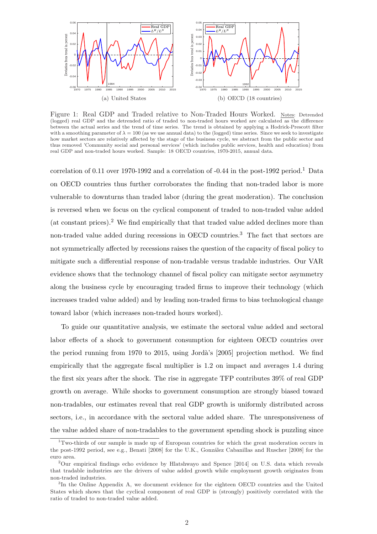

Figure 1: Real GDP and Traded relative to Non-Traded Hours Worked. Notes: Detrended (logged) real GDP and the detrended ratio of traded to non-traded hours worked are calculated as the difference between the actual series and the trend of time series. The trend is obtained by applying a Hodrick-Prescott filter with a smoothing parameter of  $\lambda = 100$  (as we use annual data) to the (logged) time series. Since we seek to investigate how market sectors are relatively affected by the stage of the business cycle, we abstract from the public sector and thus removed 'Community social and personal services' (which includes public services, health and education) from real GDP and non-traded hours worked. Sample: 18 OECD countries, 1970-2015, annual data.

correlation of 0.11 over 1970-1992 and a correlation of  $-0.44$  in the post-1992 period.<sup>1</sup> Data on OECD countries thus further corroborates the finding that non-traded labor is more vulnerable to downturns than traded labor (during the great moderation). The conclusion is reversed when we focus on the cyclical component of traded to non-traded value added (at constant prices).<sup>2</sup> We find empirically that that traded value added declines more than non-traded value added during recessions in OECD countries.<sup>3</sup> The fact that sectors are not symmetrically affected by recessions raises the question of the capacity of fiscal policy to mitigate such a differential response of non-tradable versus tradable industries. Our VAR evidence shows that the technology channel of fiscal policy can mitigate sector asymmetry along the business cycle by encouraging traded firms to improve their technology (which increases traded value added) and by leading non-traded firms to bias technological change toward labor (which increases non-traded hours worked).

To guide our quantitative analysis, we estimate the sectoral value added and sectoral labor effects of a shock to government consumption for eighteen OECD countries over the period running from 1970 to 2015, using Jordà's [2005] projection method. We find empirically that the aggregate fiscal multiplier is 1.2 on impact and averages 1.4 during the first six years after the shock. The rise in aggregate TFP contributes 39% of real GDP growth on average. While shocks to government consumption are strongly biased toward non-tradables, our estimates reveal that real GDP growth is uniformly distributed across sectors, i.e., in accordance with the sectoral value added share. The unresponsiveness of the value added share of non-tradables to the government spending shock is puzzling since

<sup>1</sup>Two-thirds of our sample is made up of European countries for which the great moderation occurs in the post-1992 period, see e.g., Benati [2008] for the U.K., González Cabanillas and Ruscher [2008] for the euro area.

<sup>2</sup>Our empirical findings echo evidence by Hlatshwayo and Spence [2014] on U.S. data which reveals that tradable industries are the drivers of value added growth while employment growth originates from non-traded industries.

<sup>&</sup>lt;sup>3</sup>In the Online Appendix A, we document evidence for the eighteen OECD countries and the United States which shows that the cyclical component of real GDP is (strongly) positively correlated with the ratio of traded to non-traded value added.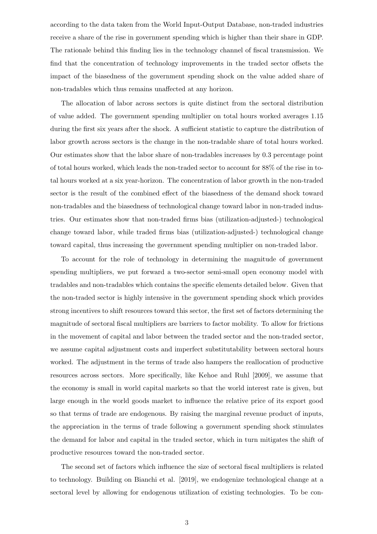according to the data taken from the World Input-Output Database, non-traded industries receive a share of the rise in government spending which is higher than their share in GDP. The rationale behind this finding lies in the technology channel of fiscal transmission. We find that the concentration of technology improvements in the traded sector offsets the impact of the biasedness of the government spending shock on the value added share of non-tradables which thus remains unaffected at any horizon.

The allocation of labor across sectors is quite distinct from the sectoral distribution of value added. The government spending multiplier on total hours worked averages 1.15 during the first six years after the shock. A sufficient statistic to capture the distribution of labor growth across sectors is the change in the non-tradable share of total hours worked. Our estimates show that the labor share of non-tradables increases by 0.3 percentage point of total hours worked, which leads the non-traded sector to account for 88% of the rise in total hours worked at a six year-horizon. The concentration of labor growth in the non-traded sector is the result of the combined effect of the biasedness of the demand shock toward non-tradables and the biasedness of technological change toward labor in non-traded industries. Our estimates show that non-traded firms bias (utilization-adjusted-) technological change toward labor, while traded firms bias (utilization-adjusted-) technological change toward capital, thus increasing the government spending multiplier on non-traded labor.

To account for the role of technology in determining the magnitude of government spending multipliers, we put forward a two-sector semi-small open economy model with tradables and non-tradables which contains the specific elements detailed below. Given that the non-traded sector is highly intensive in the government spending shock which provides strong incentives to shift resources toward this sector, the first set of factors determining the magnitude of sectoral fiscal multipliers are barriers to factor mobility. To allow for frictions in the movement of capital and labor between the traded sector and the non-traded sector, we assume capital adjustment costs and imperfect substitutability between sectoral hours worked. The adjustment in the terms of trade also hampers the reallocation of productive resources across sectors. More specifically, like Kehoe and Ruhl [2009], we assume that the economy is small in world capital markets so that the world interest rate is given, but large enough in the world goods market to influence the relative price of its export good so that terms of trade are endogenous. By raising the marginal revenue product of inputs, the appreciation in the terms of trade following a government spending shock stimulates the demand for labor and capital in the traded sector, which in turn mitigates the shift of productive resources toward the non-traded sector.

The second set of factors which influence the size of sectoral fiscal multipliers is related to technology. Building on Bianchi et al. [2019], we endogenize technological change at a sectoral level by allowing for endogenous utilization of existing technologies. To be con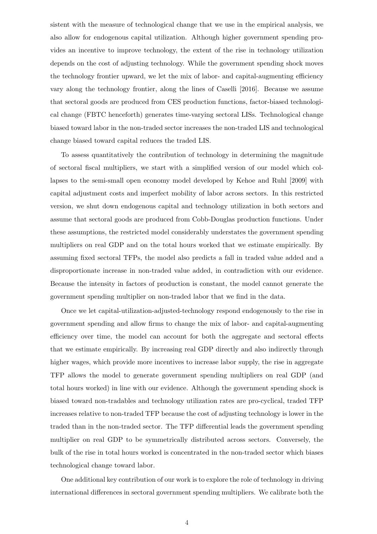sistent with the measure of technological change that we use in the empirical analysis, we also allow for endogenous capital utilization. Although higher government spending provides an incentive to improve technology, the extent of the rise in technology utilization depends on the cost of adjusting technology. While the government spending shock moves the technology frontier upward, we let the mix of labor- and capital-augmenting efficiency vary along the technology frontier, along the lines of Caselli [2016]. Because we assume that sectoral goods are produced from CES production functions, factor-biased technological change (FBTC henceforth) generates time-varying sectoral LISs. Technological change biased toward labor in the non-traded sector increases the non-traded LIS and technological change biased toward capital reduces the traded LIS.

To assess quantitatively the contribution of technology in determining the magnitude of sectoral fiscal multipliers, we start with a simplified version of our model which collapses to the semi-small open economy model developed by Kehoe and Ruhl [2009] with capital adjustment costs and imperfect mobility of labor across sectors. In this restricted version, we shut down endogenous capital and technology utilization in both sectors and assume that sectoral goods are produced from Cobb-Douglas production functions. Under these assumptions, the restricted model considerably understates the government spending multipliers on real GDP and on the total hours worked that we estimate empirically. By assuming fixed sectoral TFPs, the model also predicts a fall in traded value added and a disproportionate increase in non-traded value added, in contradiction with our evidence. Because the intensity in factors of production is constant, the model cannot generate the government spending multiplier on non-traded labor that we find in the data.

Once we let capital-utilization-adjusted-technology respond endogenously to the rise in government spending and allow firms to change the mix of labor- and capital-augmenting efficiency over time, the model can account for both the aggregate and sectoral effects that we estimate empirically. By increasing real GDP directly and also indirectly through higher wages, which provide more incentives to increase labor supply, the rise in aggregate TFP allows the model to generate government spending multipliers on real GDP (and total hours worked) in line with our evidence. Although the government spending shock is biased toward non-tradables and technology utilization rates are pro-cyclical, traded TFP increases relative to non-traded TFP because the cost of adjusting technology is lower in the traded than in the non-traded sector. The TFP differential leads the government spending multiplier on real GDP to be symmetrically distributed across sectors. Conversely, the bulk of the rise in total hours worked is concentrated in the non-traded sector which biases technological change toward labor.

One additional key contribution of our work is to explore the role of technology in driving international differences in sectoral government spending multipliers. We calibrate both the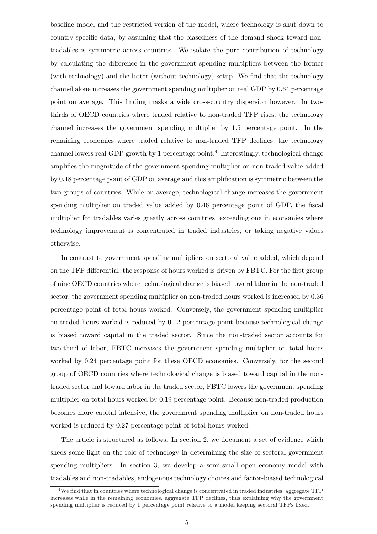baseline model and the restricted version of the model, where technology is shut down to country-specific data, by assuming that the biasedness of the demand shock toward nontradables is symmetric across countries. We isolate the pure contribution of technology by calculating the difference in the government spending multipliers between the former (with technology) and the latter (without technology) setup. We find that the technology channel alone increases the government spending multiplier on real GDP by 0.64 percentage point on average. This finding masks a wide cross-country dispersion however. In twothirds of OECD countries where traded relative to non-traded TFP rises, the technology channel increases the government spending multiplier by 1.5 percentage point. In the remaining economies where traded relative to non-traded TFP declines, the technology channel lowers real GDP growth by 1 percentage point.<sup>4</sup> Interestingly, technological change amplifies the magnitude of the government spending multiplier on non-traded value added by 0.18 percentage point of GDP on average and this amplification is symmetric between the two groups of countries. While on average, technological change increases the government spending multiplier on traded value added by 0.46 percentage point of GDP, the fiscal multiplier for tradables varies greatly across countries, exceeding one in economies where technology improvement is concentrated in traded industries, or taking negative values otherwise.

In contrast to government spending multipliers on sectoral value added, which depend on the TFP differential, the response of hours worked is driven by FBTC. For the first group of nine OECD countries where technological change is biased toward labor in the non-traded sector, the government spending multiplier on non-traded hours worked is increased by 0.36 percentage point of total hours worked. Conversely, the government spending multiplier on traded hours worked is reduced by 0.12 percentage point because technological change is biased toward capital in the traded sector. Since the non-traded sector accounts for two-third of labor, FBTC increases the government spending multiplier on total hours worked by 0.24 percentage point for these OECD economies. Conversely, for the second group of OECD countries where technological change is biased toward capital in the nontraded sector and toward labor in the traded sector, FBTC lowers the government spending multiplier on total hours worked by 0.19 percentage point. Because non-traded production becomes more capital intensive, the government spending multiplier on non-traded hours worked is reduced by 0.27 percentage point of total hours worked.

The article is structured as follows. In section 2, we document a set of evidence which sheds some light on the role of technology in determining the size of sectoral government spending multipliers. In section 3, we develop a semi-small open economy model with tradables and non-tradables, endogenous technology choices and factor-biased technological

<sup>&</sup>lt;sup>4</sup>We find that in countries where technological change is concentrated in traded industries, aggregate TFP increases while in the remaining economies, aggregate TFP declines, thus explaining why the government spending multiplier is reduced by 1 percentage point relative to a model keeping sectoral TFPs fixed.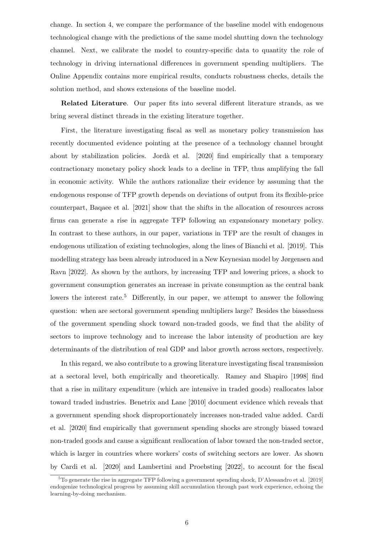change. In section 4, we compare the performance of the baseline model with endogenous technological change with the predictions of the same model shutting down the technology channel. Next, we calibrate the model to country-specific data to quantity the role of technology in driving international differences in government spending multipliers. The Online Appendix contains more empirical results, conducts robustness checks, details the solution method, and shows extensions of the baseline model.

Related Literature. Our paper fits into several different literature strands, as we bring several distinct threads in the existing literature together.

First, the literature investigating fiscal as well as monetary policy transmission has recently documented evidence pointing at the presence of a technology channel brought about by stabilization policies. Jordà et al. [2020] find empirically that a temporary contractionary monetary policy shock leads to a decline in TFP, thus amplifying the fall in economic activity. While the authors rationalize their evidence by assuming that the endogenous response of TFP growth depends on deviations of output from its flexible-price counterpart, Baqaee et al. [2021] show that the shifts in the allocation of resources across firms can generate a rise in aggregate TFP following an expansionary monetary policy. In contrast to these authors, in our paper, variations in TFP are the result of changes in endogenous utilization of existing technologies, along the lines of Bianchi et al. [2019]. This modelling strategy has been already introduced in a New Keynesian model by Jørgensen and Ravn [2022]. As shown by the authors, by increasing TFP and lowering prices, a shock to government consumption generates an increase in private consumption as the central bank lowers the interest rate.<sup>5</sup> Differently, in our paper, we attempt to answer the following question: when are sectoral government spending multipliers large? Besides the biasedness of the government spending shock toward non-traded goods, we find that the ability of sectors to improve technology and to increase the labor intensity of production are key determinants of the distribution of real GDP and labor growth across sectors, respectively.

In this regard, we also contribute to a growing literature investigating fiscal transmission at a sectoral level, both empirically and theoretically. Ramey and Shapiro [1998] find that a rise in military expenditure (which are intensive in traded goods) reallocates labor toward traded industries. Benetrix and Lane [2010] document evidence which reveals that a government spending shock disproportionately increases non-traded value added. Cardi et al. [2020] find empirically that government spending shocks are strongly biased toward non-traded goods and cause a significant reallocation of labor toward the non-traded sector, which is larger in countries where workers' costs of switching sectors are lower. As shown by Cardi et al. [2020] and Lambertini and Proebsting [2022], to account for the fiscal

 $5T\sigma$  generate the rise in aggregate TFP following a government spending shock, D'Alessandro et al. [2019] endogenize technological progress by assuming skill accumulation through past work experience, echoing the learning-by-doing mechanism.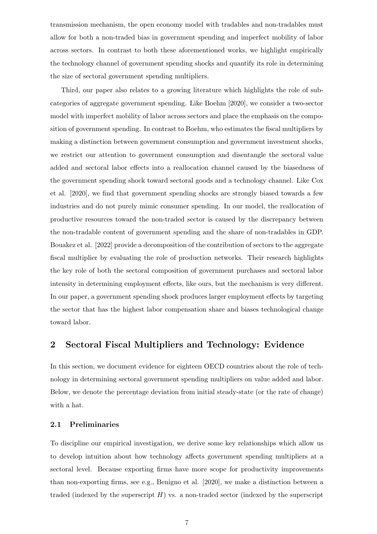transmission mechanism, the open economy model with tradables and non-tradables must allow for both a non-traded bias in government spending and imperfect mobility of labor across sectors. In contrast to both these aforementioned works, we highlight empirically the technology channel of government spending shocks and quantify its role in determining the size of sectoral government spending multipliers.

Third, our paper also relates to a growing literature which highlights the role of subcategories of aggregate government spending. Like Boehm [2020], we consider a two-sector model with imperfect mobility of labor across sectors and place the emphasis on the composition of government spending. In contrast to Boehm, who estimates the fiscal multipliers by making a distinction between government consumption and government investment shocks, we restrict our attention to government consumption and disentangle the sectoral value added and sectoral labor effects into a reallocation channel caused by the biasedness of the government spending shock toward sectoral goods and a technology channel. Like Cox et al. [2020], we find that government spending shocks are strongly biased towards a few industries and do not purely mimic consumer spending. In our model, the reallocation of productive resources toward the non-traded sector is caused by the discrepancy between the non-tradable content of government spending and the share of non-tradables in GDP. Bouakez et al. [2022] provide a decomposition of the contribution of sectors to the aggregate fiscal multiplier by evaluating the role of production networks. Their research highlights the key role of both the sectoral composition of government purchases and sectoral labor intensity in determining employment effects, like ours, but the mechanism is very different. In our paper, a government spending shock produces larger employment effects by targeting the sector that has the highest labor compensation share and biases technological change toward labor.

## 2 Sectoral Fiscal Multipliers and Technology: Evidence

In this section, we document evidence for eighteen OECD countries about the role of technology in determining sectoral government spending multipliers on value added and labor. Below, we denote the percentage deviation from initial steady-state (or the rate of change) with a hat.

#### 2.1 Preliminaries

To discipline our empirical investigation, we derive some key relationships which allow us to develop intuition about how technology affects government spending multipliers at a sectoral level. Because exporting firms have more scope for productivity improvements than non-exporting firms, see e.g., Benigno et al. [2020], we make a distinction between a traded (indexed by the superscript  $H$ ) vs. a non-traded sector (indexed by the superscript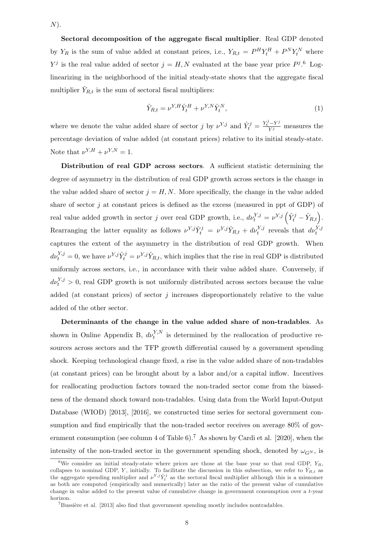$N$ ).

Sectoral decomposition of the aggregate fiscal multiplier. Real GDP denoted by  $Y_R$  is the sum of value added at constant prices, i.e.,  $Y_{R,t} = P^H Y_t^H + P^N Y_t^N$  where  $Y^j$  is the real value added of sector  $j = H, N$  evaluated at the base year price  $P^j$ . Loglinearizing in the neighborhood of the initial steady-state shows that the aggregate fiscal multiplier  $\hat{Y}_{R,t}$  is the sum of sectoral fiscal multipliers:

$$
\hat{Y}_{R,t} = \nu^{Y,H}\hat{Y}_t^H + \nu^{Y,N}\hat{Y}_t^N,\tag{1}
$$

where we denote the value added share of sector j by  $\nu^{Y,j}$  and  $\hat{Y}_t^j = \frac{Y_t^j - Y^j}{Y^j}$  measures the percentage deviation of value added (at constant prices) relative to its initial steady-state. Note that  $\nu^{Y,H} + \nu^{Y,N} = 1$ .

Distribution of real GDP across sectors. A sufficient statistic determining the degree of asymmetry in the distribution of real GDP growth across sectors is the change in the value added share of sector  $j = H, N$ . More specifically, the change in the value added share of sector  $j$  at constant prices is defined as the excess (measured in ppt of GDP) of real value added growth in sector j over real GDP growth, i.e.,  $d\nu_t^{Y,j} = \nu^{Y,j} (\hat{Y}_t^j - \hat{Y}_{R,t}).$ Rearranging the latter equality as follows  $\nu^{Y,j} \hat{Y}_t^j = \nu^{Y,j} \hat{Y}_{R,t} + d\nu_t^{Y,j}$  reveals that  $d\nu_t^{Y,j}$ captures the extent of the asymmetry in the distribution of real GDP growth. When  $d\nu_t^{Y,j} = 0$ , we have  $\nu^{Y,j} \hat{Y}_t^j = \nu^{Y,j} \hat{Y}_{R,t}$ , which implies that the rise in real GDP is distributed uniformly across sectors, i.e., in accordance with their value added share. Conversely, if  $d\nu_t^{Y,j} > 0$ , real GDP growth is not uniformly distributed across sectors because the value added (at constant prices) of sector  $j$  increases disproportionately relative to the value added of the other sector.

Determinants of the change in the value added share of non-tradables. As shown in Online Appendix B,  $d\nu_t^{Y,N}$  is determined by the reallocation of productive resources across sectors and the TFP growth differential caused by a government spending shock. Keeping technological change fixed, a rise in the value added share of non-tradables (at constant prices) can be brought about by a labor and/or a capital inflow. Incentives for reallocating production factors toward the non-traded sector come from the biasedness of the demand shock toward non-tradables. Using data from the World Input-Output Database (WIOD) [2013], [2016], we constructed time series for sectoral government consumption and find empirically that the non-traded sector receives on average 80% of government consumption (see column 4 of Table  $6$ ).<sup>7</sup> As shown by Cardi et al. [2020], when the intensity of the non-traded sector in the government spending shock, denoted by  $\omega_{\mathbb{C}^N}$ , is

<sup>&</sup>lt;sup>6</sup>We consider an initial steady-state where prices are those at the base year so that real GDP,  $Y_R$ , collapses to nominal GDP, Y, initially. To facilitate the discussion in this subsection, we refer to  $\hat{Y}_{R,t}$  as the aggregate spending multiplier and  $\nu^{Y,j} \hat{Y}_t^j$  as the sectoral fiscal multiplier although this is a misnomer as both are computed (empirically and numerically) later as the ratio of the present value of cumulative change in value added to the present value of cumulative change in government consumption over a t-year horizon.

 $7B$ ussière et al. [2013] also find that government spending mostly includes nontradables.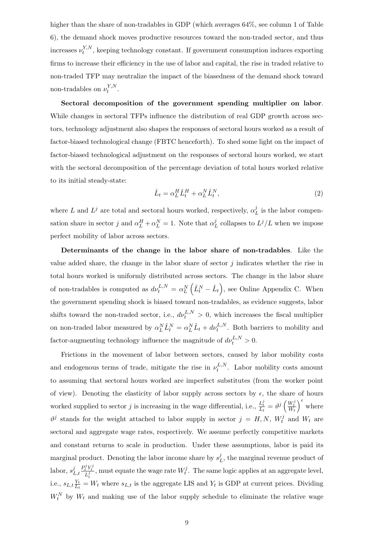higher than the share of non-tradables in GDP (which averages  $64\%$ , see column 1 of Table 6), the demand shock moves productive resources toward the non-traded sector, and thus increases  $\nu_t^{Y,N}$  $t^{Y,N}$ , keeping technology constant. If government consumption induces exporting firms to increase their efficiency in the use of labor and capital, the rise in traded relative to non-traded TFP may neutralize the impact of the biasedness of the demand shock toward non-tradables on  $\nu_t^{Y,N}$  $t^{Y,N}$  .

Sectoral decomposition of the government spending multiplier on labor. While changes in sectoral TFPs influence the distribution of real GDP growth across sectors, technology adjustment also shapes the responses of sectoral hours worked as a result of factor-biased technological change (FBTC henceforth). To shed some light on the impact of factor-biased technological adjustment on the responses of sectoral hours worked, we start with the sectoral decomposition of the percentage deviation of total hours worked relative to its initial steady-state:

$$
\hat{L}_t = \alpha_L^H \hat{L}_t^H + \alpha_L^N \hat{L}_t^N,\tag{2}
$$

where L and  $L^j$  are total and sectoral hours worked, respectively,  $\alpha_I^j$  $\frac{\partial}{\partial L}$  is the labor compensation share in sector j and  $\alpha_L^H + \alpha_L^N = 1$ . Note that  $\alpha_I^j$  $\frac{j}{L}$  collapses to  $L^j/L$  when we impose perfect mobility of labor across sectors.

Determinants of the change in the labor share of non-tradables. Like the value added share, the change in the labor share of sector  $i$  indicates whether the rise in total hours worked is uniformly distributed across sectors. The change in the labor share of non-tradables is computed as  $d\nu_t^{L,N} = \alpha_L^N$  $\ddot{\phantom{0}}$  $\hat{L}_t^N - \hat{L}_t$ ´ , see Online Appendix C. When the government spending shock is biased toward non-tradables, as evidence suggests, labor shifts toward the non-traded sector, i.e.,  $d\nu_t^{L,N} > 0$ , which increases the fiscal multiplier on non-traded labor measured by  $\alpha_L^N \hat{L}_t^N = \alpha_L^N \hat{L}_t + d\nu_t^{L,N}$ . Both barriers to mobility and factor-augmenting technology influence the magnitude of  $d\nu_t^{L,N} > 0$ .

Frictions in the movement of labor between sectors, caused by labor mobility costs and endogenous terms of trade, mitigate the rise in  $\nu_t^{L,N}$  $t_t^{L,N}$ . Labor mobility costs amount to assuming that sectoral hours worked are imperfect substitutes (from the worker point of view). Denoting the elasticity of labor supply across sectors by  $\epsilon$ , the share of hours worked supplied to sector j is increasing in the wage differential, i.e.,  $\frac{L_t^j}{L_t} = \vartheta^j \left( \frac{W_t^j}{W_t} \right)$  $\left\{ \begin{matrix} 5 & 1 \\ 1 & 1 \end{matrix} \right\}$ where  $\vartheta^j$  stands for the weight attached to labor supply in sector  $j = H, N, W_t^j$  $t^j$  and  $W_t$  are sectoral and aggregate wage rates, respectively. We assume perfectly competitive markets and constant returns to scale in production. Under these assumptions, labor is paid its marginal product. Denoting the labor income share by  $s_I^j$  $L<sup>J</sup>$ , the marginal revenue product of labor,  $s_I^j$  $L,t$  $\frac{P_t^j Y_t^j}{L_t^j}$  , must equate the wage rate  $W_t^j$  $t_t^j$ . The same logic applies at an aggregate level, i.e.,  $s_{L,t} \frac{Y_t}{I_t}$  $\frac{Y_t}{L_t} = W_t$  where  $s_{L,t}$  is the aggregate LIS and  $Y_t$  is GDP at current prices. Dividing  $W_t^N$  by  $W_t$  and making use of the labor supply schedule to eliminate the relative wage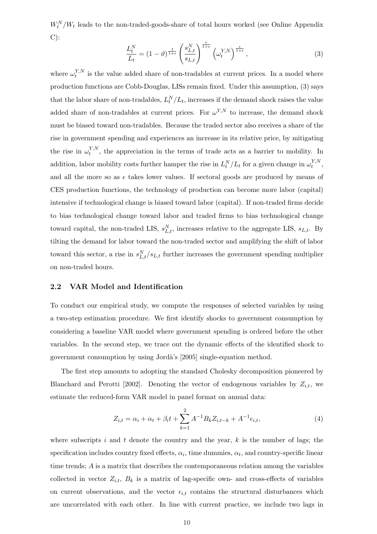$W_t^N/W_t$  leads to the non-traded-goods-share of total hours worked (see Online Appendix C):

$$
\frac{L_t^N}{L_t} = (1 - \vartheta)^{\frac{1}{1+\epsilon}} \left(\frac{s_{L,t}^N}{s_{L,t}}\right)^{\frac{\epsilon}{1+\epsilon}} \left(\omega_t^{Y,N}\right)^{\frac{\epsilon}{1+\epsilon}},\tag{3}
$$

where  $\omega_t^{Y,N}$  $t^{Y,N}$  is the value added share of non-tradables at current prices. In a model where production functions are Cobb-Douglas, LISs remain fixed. Under this assumption, (3) says that the labor share of non-tradables,  $L_t^N/L_t$ , increases if the demand shock raises the value added share of non-tradables at current prices. For  $\omega^{Y,N}$  to increase, the demand shock must be biased toward non-tradables. Because the traded sector also receives a share of the rise in government spending and experiences an increase in its relative price, by mitigating the rise in  $\omega_t^{Y,N}$  $t^{Y,N}$ , the appreciation in the terms of trade acts as a barrier to mobility. In addition, labor mobility costs further hamper the rise in  $L_t^N/L_t$  for a given change in  $\omega_t^{Y,N}$  $_t^{I,N}$ , and all the more so as  $\epsilon$  takes lower values. If sectoral goods are produced by means of CES production functions, the technology of production can become more labor (capital) intensive if technological change is biased toward labor (capital). If non-traded firms decide to bias technological change toward labor and traded firms to bias technological change toward capital, the non-traded LIS,  $s_{L,t}^N$ , increases relative to the aggregate LIS,  $s_{L,t}$ . By tilting the demand for labor toward the non-traded sector and amplifying the shift of labor toward this sector, a rise in  $s_{L,t}^N/s_{L,t}$  further increases the government spending multiplier on non-traded hours.

#### 2.2 VAR Model and Identification

To conduct our empirical study, we compute the responses of selected variables by using a two-step estimation procedure. We first identify shocks to government consumption by considering a baseline VAR model where government spending is ordered before the other variables. In the second step, we trace out the dynamic effects of the identified shock to government consumption by using Jordà's [2005] single-equation method.

The first step amounts to adopting the standard Cholesky decomposition pioneered by Blanchard and Perotti [2002]. Denoting the vector of endogenous variables by  $Z_{i,t}$ , we estimate the reduced-form VAR model in panel format on annual data:

$$
Z_{i,t} = \alpha_i + \alpha_t + \beta_i t + \sum_{k=1}^{2} A^{-1} B_k Z_{i,t-k} + A^{-1} \epsilon_{i,t},
$$
\n(4)

where subscripts  $i$  and  $t$  denote the country and the year,  $k$  is the number of lags; the specification includes country fixed effects,  $\alpha_i$ , time dummies,  $\alpha_t$ , and country-specific linear time trends; A is a matrix that describes the contemporaneous relation among the variables collected in vector  $Z_{i,t}$ ,  $B_k$  is a matrix of lag-specific own- and cross-effects of variables on current observations, and the vector  $\epsilon_{i,t}$  contains the structural disturbances which are uncorrelated with each other. In line with current practice, we include two lags in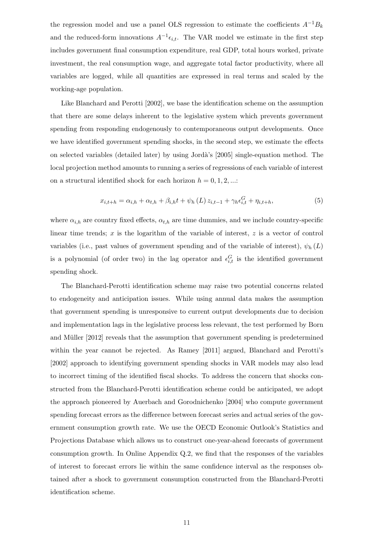the regression model and use a panel OLS regression to estimate the coefficients  $A^{-1}B_k$ and the reduced-form innovations  $A^{-1} \epsilon_{i,t}$ . The VAR model we estimate in the first step includes government final consumption expenditure, real GDP, total hours worked, private investment, the real consumption wage, and aggregate total factor productivity, where all variables are logged, while all quantities are expressed in real terms and scaled by the working-age population.

Like Blanchard and Perotti [2002], we base the identification scheme on the assumption that there are some delays inherent to the legislative system which prevents government spending from responding endogenously to contemporaneous output developments. Once we have identified government spending shocks, in the second step, we estimate the effects on selected variables (detailed later) by using Jord`a's [2005] single-equation method. The local projection method amounts to running a series of regressions of each variable of interest on a structural identified shock for each horizon  $h = 0, 1, 2, ...$ :

$$
x_{i,t+h} = \alpha_{i,h} + \alpha_{t,h} + \beta_{i,h}t + \psi_h(L) z_{i,t-1} + \gamma_h \epsilon_{i,t}^G + \eta_{i,t+h},
$$
\n(5)

where  $\alpha_{i,h}$  are country fixed effects,  $\alpha_{t,h}$  are time dummies, and we include country-specific linear time trends;  $x$  is the logarithm of the variable of interest,  $z$  is a vector of control variables (i.e., past values of government spending and of the variable of interest),  $\psi_h(L)$ is a polynomial (of order two) in the lag operator and  $\epsilon_{i,t}^G$  is the identified government spending shock.

The Blanchard-Perotti identification scheme may raise two potential concerns related to endogeneity and anticipation issues. While using annual data makes the assumption that government spending is unresponsive to current output developments due to decision and implementation lags in the legislative process less relevant, the test performed by Born and Müller [2012] reveals that the assumption that government spending is predetermined within the year cannot be rejected. As Ramey [2011] argued, Blanchard and Perotti's [2002] approach to identifying government spending shocks in VAR models may also lead to incorrect timing of the identified fiscal shocks. To address the concern that shocks constructed from the Blanchard-Perotti identification scheme could be anticipated, we adopt the approach pioneered by Auerbach and Gorodnichenko [2004] who compute government spending forecast errors as the difference between forecast series and actual series of the government consumption growth rate. We use the OECD Economic Outlook's Statistics and Projections Database which allows us to construct one-year-ahead forecasts of government consumption growth. In Online Appendix Q.2, we find that the responses of the variables of interest to forecast errors lie within the same confidence interval as the responses obtained after a shock to government consumption constructed from the Blanchard-Perotti identification scheme.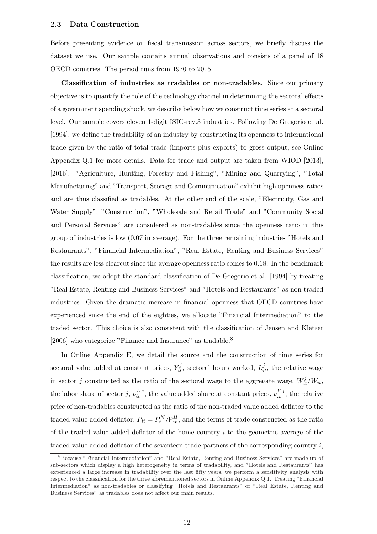Before presenting evidence on fiscal transmission across sectors, we briefly discuss the dataset we use. Our sample contains annual observations and consists of a panel of 18 OECD countries. The period runs from 1970 to 2015.

Classification of industries as tradables or non-tradables. Since our primary objective is to quantify the role of the technology channel in determining the sectoral effects of a government spending shock, we describe below how we construct time series at a sectoral level. Our sample covers eleven 1-digit ISIC-rev.3 industries. Following De Gregorio et al. [1994], we define the tradability of an industry by constructing its openness to international trade given by the ratio of total trade (imports plus exports) to gross output, see Online Appendix Q.1 for more details. Data for trade and output are taken from WIOD [2013], [2016]. "Agriculture, Hunting, Forestry and Fishing", "Mining and Quarrying", "Total Manufacturing" and "Transport, Storage and Communication" exhibit high openness ratios and are thus classified as tradables. At the other end of the scale, "Electricity, Gas and Water Supply", "Construction", "Wholesale and Retail Trade" and "Community Social and Personal Services" are considered as non-tradables since the openness ratio in this group of industries is low (0.07 in average). For the three remaining industries "Hotels and Restaurants", "Financial Intermediation", "Real Estate, Renting and Business Services" the results are less clearcut since the average openness ratio comes to 0.18. In the benchmark classification, we adopt the standard classification of De Gregorio et al. [1994] by treating "Real Estate, Renting and Business Services" and "Hotels and Restaurants" as non-traded industries. Given the dramatic increase in financial openness that OECD countries have experienced since the end of the eighties, we allocate "Financial Intermediation" to the traded sector. This choice is also consistent with the classification of Jensen and Kletzer  $[2006]$  who categorize "Finance and Insurance" as tradable.  $^8$ 

In Online Appendix E, we detail the source and the construction of time series for sectoral value added at constant prices,  $Y_{it}^j$ , sectoral hours worked,  $L_{it}^j$ , the relative wage in sector *j* constructed as the ratio of the sectoral wage to the aggregate wage,  $W_{it}^{j}/W_{it}$ , the labor share of sector j,  $\nu_{it}^{L,j}$ , the value added share at constant prices,  $\nu_{it}^{Y,j}$ , the relative price of non-tradables constructed as the ratio of the non-traded value added deflator to the traded value added deflator,  $P_{it} = P_t^N / P_{it}^H$ , and the terms of trade constructed as the ratio of the traded value added deflator of the home country  $i$  to the geometric average of the traded value added deflator of the seventeen trade partners of the corresponding country  $i$ ,

<sup>8</sup>Because "Financial Intermediation" and "Real Estate, Renting and Business Services" are made up of sub-sectors which display a high heterogeneity in terms of tradability, and "Hotels and Restaurants" has experienced a large increase in tradability over the last fifty years, we perform a sensitivity analysis with respect to the classification for the three aforementioned sectors in Online Appendix Q.1. Treating "Financial Intermediation" as non-tradables or classifying "Hotels and Restaurants" or "Real Estate, Renting and Business Services" as tradables does not affect our main results.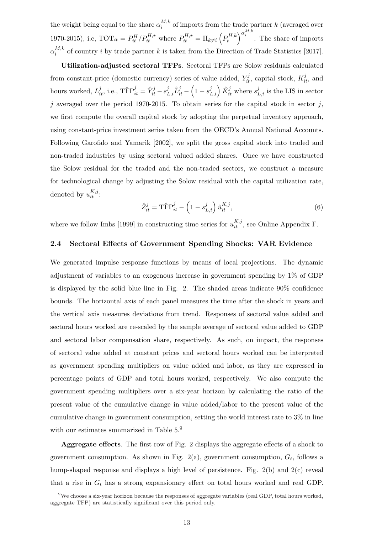the weight being equal to the share  $\alpha_i^{M,k}$  $i^{M,k}$  of imports from the trade partner k (averaged over 1970-2015), i.e,  $\text{TOT}_{it} = P_{it}^H / P_{it}^{H,\star}$  where  $P_{it}^{H,\star} = \Pi_{k \neq i}$  $\overline{a}$  $P_t^{H,k}$ t  $\int_{0}^{\alpha_i} \alpha_i^{M,k}$ . The share of imports  $\alpha^{M,k}_i$  $i^{M,k}$  of country i by trade partner k is taken from the Direction of Trade Statistics [2017].

Utilization-adjusted sectoral TFPs. Sectoral TFPs are Solow residuals calculated from constant-price (domestic currency) series of value added,  $Y_{it}^j$ , capital stock,  $K_{it}^j$ , and hours worked,  $L_{it}^j$ , i.e.,  $\text{T\hat{F}} \text{P}_{it}^j = \hat{Y}_{it}^j - s_{L,i}^j \hat{L}_{it}^j - \left(1 - s_{L,i}^j \hat{L}_{it}^j\right)$  $\begin{pmatrix} i & j \ L_i \end{pmatrix} \hat{K}_{it}^j$  where  $s_{L,i}^j$  is the LIS in sector j averaged over the period 1970-2015. To obtain series for the capital stock in sector  $j$ , we first compute the overall capital stock by adopting the perpetual inventory approach, using constant-price investment series taken from the OECD's Annual National Accounts. Following Garofalo and Yamarik [2002], we split the gross capital stock into traded and non-traded industries by using sectoral valued added shares. Once we have constructed the Solow residual for the traded and the non-traded sectors, we construct a measure for technological change by adjusting the Solow residual with the capital utilization rate, denoted by  $u_{it}^{K,j}$ :

$$
\hat{Z}_{it}^{j} = \text{T}\hat{\text{F}}\text{P}_{it}^{j} - \left(1 - s_{L,i}^{j}\right)\hat{u}_{it}^{K,j},\tag{6}
$$

where we follow Imbs [1999] in constructing time series for  $u_{it}^{K,j}$ , see Online Appendix F.

#### 2.4 Sectoral Effects of Government Spending Shocks: VAR Evidence

We generated impulse response functions by means of local projections. The dynamic adjustment of variables to an exogenous increase in government spending by 1% of GDP is displayed by the solid blue line in Fig. 2. The shaded areas indicate 90% confidence bounds. The horizontal axis of each panel measures the time after the shock in years and the vertical axis measures deviations from trend. Responses of sectoral value added and sectoral hours worked are re-scaled by the sample average of sectoral value added to GDP and sectoral labor compensation share, respectively. As such, on impact, the responses of sectoral value added at constant prices and sectoral hours worked can be interpreted as government spending multipliers on value added and labor, as they are expressed in percentage points of GDP and total hours worked, respectively. We also compute the government spending multipliers over a six-year horizon by calculating the ratio of the present value of the cumulative change in value added/labor to the present value of the cumulative change in government consumption, setting the world interest rate to 3% in line with our estimates summarized in Table  $5.^9$ 

Aggregate effects. The first row of Fig. 2 displays the aggregate effects of a shock to government consumption. As shown in Fig.  $2(a)$ , government consumption,  $G_t$ , follows a hump-shaped response and displays a high level of persistence. Fig.  $2(b)$  and  $2(c)$  reveal that a rise in  $G_t$  has a strong expansionary effect on total hours worked and real GDP.

<sup>&</sup>lt;sup>9</sup>We choose a six-year horizon because the responses of aggregate variables (real GDP, total hours worked, aggregate TFP) are statistically significant over this period only.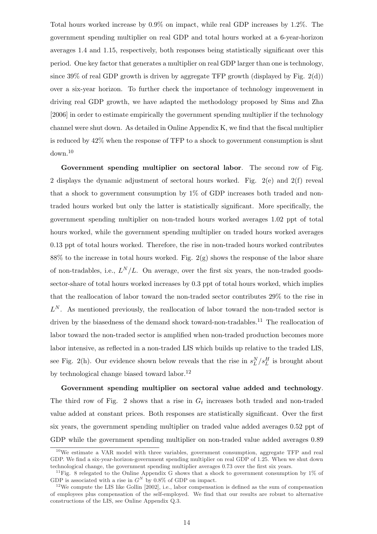Total hours worked increase by 0.9% on impact, while real GDP increases by 1.2%. The government spending multiplier on real GDP and total hours worked at a 6-year-horizon averages 1.4 and 1.15, respectively, both responses being statistically significant over this period. One key factor that generates a multiplier on real GDP larger than one is technology, since 39% of real GDP growth is driven by aggregate TFP growth (displayed by Fig.  $2(d)$ ) over a six-year horizon. To further check the importance of technology improvement in driving real GDP growth, we have adapted the methodology proposed by Sims and Zha [2006] in order to estimate empirically the government spending multiplier if the technology channel were shut down. As detailed in Online Appendix K, we find that the fiscal multiplier is reduced by 42% when the response of TFP to a shock to government consumption is shut down.<sup>10</sup>

Government spending multiplier on sectoral labor. The second row of Fig. 2 displays the dynamic adjustment of sectoral hours worked. Fig. 2(e) and 2(f) reveal that a shock to government consumption by  $1\%$  of GDP increases both traded and nontraded hours worked but only the latter is statistically significant. More specifically, the government spending multiplier on non-traded hours worked averages 1.02 ppt of total hours worked, while the government spending multiplier on traded hours worked averages 0.13 ppt of total hours worked. Therefore, the rise in non-traded hours worked contributes 88% to the increase in total hours worked. Fig.  $2(g)$  shows the response of the labor share of non-tradables, i.e.,  $L^N/L$ . On average, over the first six years, the non-traded goodssector-share of total hours worked increases by 0.3 ppt of total hours worked, which implies that the reallocation of labor toward the non-traded sector contributes 29% to the rise in  $L^N$ . As mentioned previously, the reallocation of labor toward the non-traded sector is driven by the biasedness of the demand shock toward-non-tradables.<sup>11</sup> The reallocation of labor toward the non-traded sector is amplified when non-traded production becomes more labor intensive, as reflected in a non-traded LIS which builds up relative to the traded LIS, see Fig. 2(h). Our evidence shown below reveals that the rise in  $s_L^N/s_L^H$  is brought about by technological change biased toward labor.<sup>12</sup>

Government spending multiplier on sectoral value added and technology. The third row of Fig. 2 shows that a rise in  $G_t$  increases both traded and non-traded value added at constant prices. Both responses are statistically significant. Over the first six years, the government spending multiplier on traded value added averages 0.52 ppt of GDP while the government spending multiplier on non-traded value added averages 0.89

<sup>10</sup>We estimate a VAR model with three variables, government consumption, aggregate TFP and real GDP. We find a six-year-horizon-government spending multiplier on real GDP of 1.25. When we shut down technological change, the government spending multiplier averages 0.73 over the first six years.

<sup>&</sup>lt;sup>11</sup>Fig. 8 relegated to the Online Appendix G shows that a shock to government consumption by  $1\%$  of GDP is associated with a rise in  $G^N$  by 0.8% of GDP on impact.

<sup>&</sup>lt;sup>12</sup>We compute the LIS like Gollin [2002], i.e., labor compensation is defined as the sum of compensation of employees plus compensation of the self-employed. We find that our results are robust to alternative constructions of the LIS, see Online Appendix Q.3.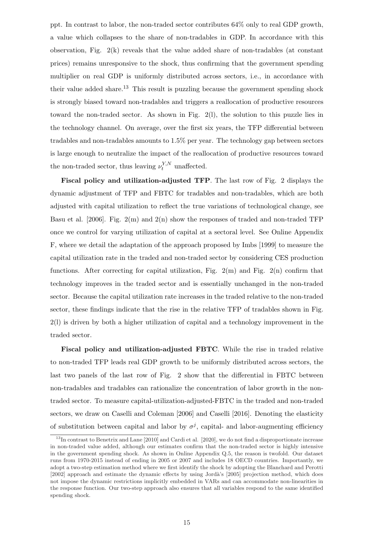ppt. In contrast to labor, the non-traded sector contributes 64% only to real GDP growth, a value which collapses to the share of non-tradables in GDP. In accordance with this observation, Fig.  $2(k)$  reveals that the value added share of non-tradables (at constant prices) remains unresponsive to the shock, thus confirming that the government spending multiplier on real GDP is uniformly distributed across sectors, i.e., in accordance with their value added share.<sup>13</sup> This result is puzzling because the government spending shock is strongly biased toward non-tradables and triggers a reallocation of productive resources toward the non-traded sector. As shown in Fig. 2(l), the solution to this puzzle lies in the technology channel. On average, over the first six years, the TFP differential between tradables and non-tradables amounts to 1.5% per year. The technology gap between sectors is large enough to neutralize the impact of the reallocation of productive resources toward the non-traded sector, thus leaving  $\nu_t^{Y,N}$  unaffected.

Fiscal policy and utilization-adjusted TFP. The last row of Fig. 2 displays the dynamic adjustment of TFP and FBTC for tradables and non-tradables, which are both adjusted with capital utilization to reflect the true variations of technological change, see Basu et al. [2006]. Fig.  $2(m)$  and  $2(n)$  show the responses of traded and non-traded TFP once we control for varying utilization of capital at a sectoral level. See Online Appendix F, where we detail the adaptation of the approach proposed by Imbs [1999] to measure the capital utilization rate in the traded and non-traded sector by considering CES production functions. After correcting for capital utilization, Fig.  $2(m)$  and Fig.  $2(n)$  confirm that technology improves in the traded sector and is essentially unchanged in the non-traded sector. Because the capital utilization rate increases in the traded relative to the non-traded sector, these findings indicate that the rise in the relative TFP of tradables shown in Fig. 2(l) is driven by both a higher utilization of capital and a technology improvement in the traded sector.

Fiscal policy and utilization-adjusted FBTC. While the rise in traded relative to non-traded TFP leads real GDP growth to be uniformly distributed across sectors, the last two panels of the last row of Fig. 2 show that the differential in FBTC between non-tradables and tradables can rationalize the concentration of labor growth in the nontraded sector. To measure capital-utilization-adjusted-FBTC in the traded and non-traded sectors, we draw on Caselli and Coleman [2006] and Caselli [2016]. Denoting the elasticity of substitution between capital and labor by  $\sigma^j$ , capital- and labor-augmenting efficiency

<sup>&</sup>lt;sup>13</sup>In contrast to Benetrix and Lane [2010] and Cardi et al. [2020], we do not find a disproportionate increase in non-traded value added, although our estimates confirm that the non-traded sector is highly intensive in the government spending shock. As shown in Online Appendix Q.5, the reason is twofold. Our dataset runs from 1970-2015 instead of ending in 2005 or 2007 and includes 18 OECD countries. Importantly, we adopt a two-step estimation method where we first identify the shock by adopting the Blanchard and Perotti [2002] approach and estimate the dynamic effects by using Jordà's [2005] projection method, which does not impose the dynamic restrictions implicitly embedded in VARs and can accommodate non-linearities in the response function. Our two-step approach also ensures that all variables respond to the same identified spending shock.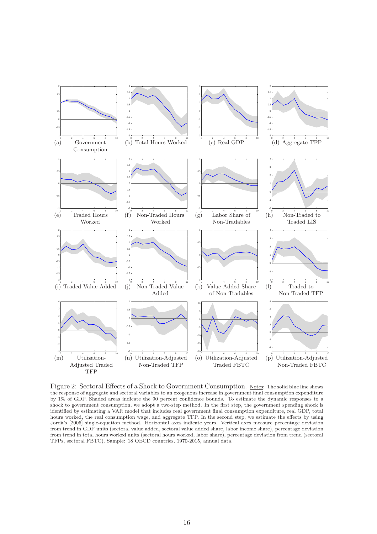

Figure 2: Sectoral Effects of a Shock to Government Consumption. Notes: The solid blue line shows the response of aggregate and sectoral variables to an exogenous increase in government final consumption expenditure by 1% of GDP. Shaded areas indicate the 90 percent confidence bounds. To estimate the dynamic responses to a shock to government consumption, we adopt a two-step method. In the first step, the government spending shock is identified by estimating a VAR model that includes real government final consumption expenditure, real GDP, total hours worked, the real consumption wage, and aggregate TFP. In the second step, we estimate the effects by using Jordà's [2005] single-equation method. Horizontal axes indicate years. Vertical axes measure percentage deviation from trend in GDP units (sectoral value added, sectoral value added share, labor income share), percentage deviation from trend in total hours worked units (sectoral hours worked, labor share), percentage deviation from trend (sectoral TFPs, sectoral FBTC). Sample: 18 OECD countries, 1970-2015, annual data.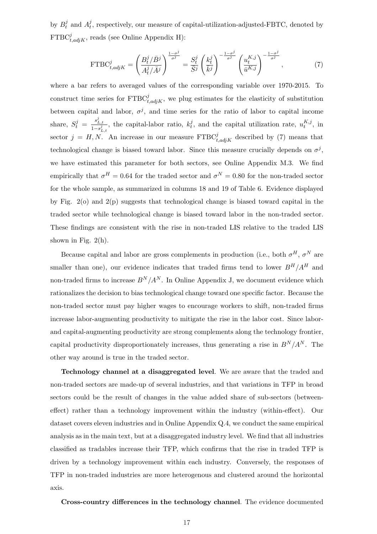by  $B_t^j$  $i_t^j$  and  $A_t^j$  $_{t}^{j}$ , respectively, our measure of capital-utilization-adjusted-FBTC, denoted by  $\text{FTBC}_{t,adjK}^j$ , reads (see Online Appendix H):

$$
\text{FTBC}_{t,adjK}^j = \left(\frac{B_t^j/\bar{B}^j}{A_t^j/\bar{A}^j}\right)^{\frac{1-\sigma^j}{\sigma^j}} = \frac{S_t^j}{\bar{S}^j} \left(\frac{k_t^j}{\bar{k}^j}\right)^{-\frac{1-\sigma^j}{\sigma^j}} \left(\frac{u_t^{K,j}}{\bar{u}^{K,j}}\right)^{-\frac{1-\sigma^j}{\sigma^j}},\tag{7}
$$

where a bar refers to averaged values of the corresponding variable over 1970-2015. To construct time series for  $\text{FTBC}_{t,adjK}^j$ , we plug estimates for the elasticity of substitution between capital and labor,  $\sigma^j$ , and time series for the ratio of labor to capital income share,  $S_t^j = \frac{s_{L,t}^j}{1-s^j}$  $\frac{s'_{L,t}}{1-s_{L,t}^j}$ , the capital-labor ratio,  $k_t^j$  $t_t^j$ , and the capital utilization rate,  $u_t^{K,j}$  $_{t}^{\mathbf{A},j}$ , in sector  $j = H, N$ . An increase in our measure  $\text{FTBC}_{t,adjK}^j$  described by (7) means that technological change is biased toward labor. Since this measure crucially depends on  $\sigma^j$ , we have estimated this parameter for both sectors, see Online Appendix M.3. We find empirically that  $\sigma^H = 0.64$  for the traded sector and  $\sigma^N = 0.80$  for the non-traded sector for the whole sample, as summarized in columns 18 and 19 of Table 6. Evidence displayed by Fig.  $2(\circ)$  and  $2(p)$  suggests that technological change is biased toward capital in the traded sector while technological change is biased toward labor in the non-traded sector. These findings are consistent with the rise in non-traded LIS relative to the traded LIS shown in Fig.  $2(h)$ .

Because capital and labor are gross complements in production (i.e., both  $\sigma^H$ ,  $\sigma^N$  are smaller than one), our evidence indicates that traded firms tend to lower  $B^H/A^H$  and non-traded firms to increase  $B^N/A^N$ . In Online Appendix J, we document evidence which rationalizes the decision to bias technological change toward one specific factor. Because the non-traded sector must pay higher wages to encourage workers to shift, non-traded firms increase labor-augmenting productivity to mitigate the rise in the labor cost. Since laborand capital-augmenting productivity are strong complements along the technology frontier, capital productivity disproportionately increases, thus generating a rise in  $B^N/A^N$ . The other way around is true in the traded sector.

Technology channel at a disaggregated level. We are aware that the traded and non-traded sectors are made-up of several industries, and that variations in TFP in broad sectors could be the result of changes in the value added share of sub-sectors (betweeneffect) rather than a technology improvement within the industry (within-effect). Our dataset covers eleven industries and in Online Appendix Q.4, we conduct the same empirical analysis as in the main text, but at a disaggregated industry level. We find that all industries classified as tradables increase their TFP, which confirms that the rise in traded TFP is driven by a technology improvement within each industry. Conversely, the responses of TFP in non-traded industries are more heterogenous and clustered around the horizontal axis.

#### Cross-country differences in the technology channel. The evidence documented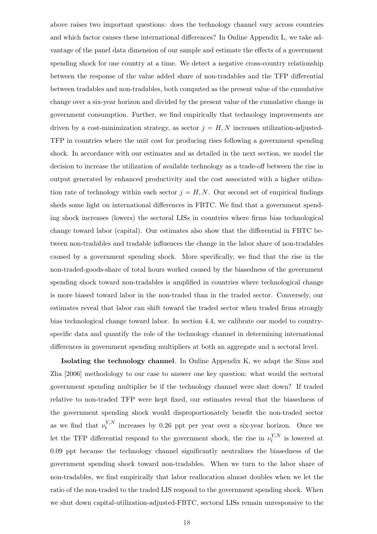above raises two important questions: does the technology channel vary across countries and which factor causes these international differences? In Online Appendix L, we take advantage of the panel data dimension of our sample and estimate the effects of a government spending shock for one country at a time. We detect a negative cross-country relationship between the response of the value added share of non-tradables and the TFP differential between tradables and non-tradables, both computed as the present value of the cumulative change over a six-year horizon and divided by the present value of the cumulative change in government consumption. Further, we find empirically that technology improvements are driven by a cost-minimization strategy, as sector  $j = H, N$  increases utilization-adjusted-TFP in countries where the unit cost for producing rises following a government spending shock. In accordance with our estimates and as detailed in the next section, we model the decision to increase the utilization of available technology as a trade-off between the rise in output generated by enhanced productivity and the cost associated with a higher utilization rate of technology within each sector  $j = H, N$ . Our second set of empirical findings sheds some light on international differences in FBTC. We find that a government spending shock increases (lowers) the sectoral LISs in countries where firms bias technological change toward labor (capital). Our estimates also show that the differential in FBTC between non-tradables and tradable influences the change in the labor share of non-tradables caused by a government spending shock. More specifically, we find that the rise in the non-traded-goods-share of total hours worked caused by the biasedness of the government spending shock toward non-tradables is amplified in countries where technological change is more biased toward labor in the non-traded than in the traded sector. Conversely, our estimates reveal that labor can shift toward the traded sector when traded firms strongly bias technological change toward labor. In section 4.4, we calibrate our model to countryspecific data and quantify the role of the technology channel in determining international differences in government spending multipliers at both an aggregate and a sectoral level.

Isolating the technology channel. In Online Appendix K, we adapt the Sims and Zha [2006] methodology to our case to answer one key question: what would the sectoral government spending multiplier be if the technology channel were shut down? If traded relative to non-traded TFP were kept fixed, our estimates reveal that the biasedness of the government spending shock would disproportionately benefit the non-traded sector as we find that  $\nu_t^{Y,N}$  $t^{Y,N}$  increases by 0.26 ppt per year over a six-year horizon. Once we let the TFP differential respond to the government shock, the rise in  $\nu_t^{Y,N}$  $t^{Y,N}$  is lowered at 0.09 ppt because the technology channel significantly neutralizes the biasedness of the government spending shock toward non-tradables. When we turn to the labor share of non-tradables, we find empirically that labor reallocation almost doubles when we let the ratio of the non-traded to the traded LIS respond to the government spending shock. When we shut down capital-utilization-adjusted-FBTC, sectoral LISs remain unresponsive to the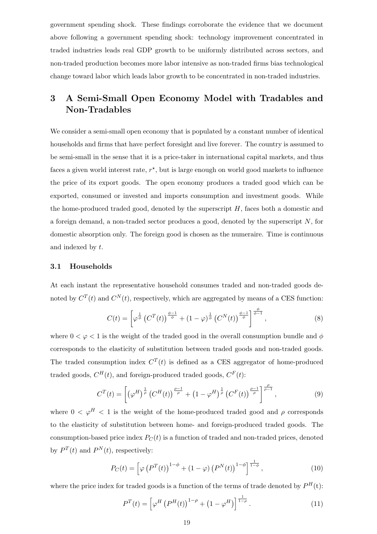government spending shock. These findings corroborate the evidence that we document above following a government spending shock: technology improvement concentrated in traded industries leads real GDP growth to be uniformly distributed across sectors, and non-traded production becomes more labor intensive as non-traded firms bias technological change toward labor which leads labor growth to be concentrated in non-traded industries.

## 3 A Semi-Small Open Economy Model with Tradables and Non-Tradables

We consider a semi-small open economy that is populated by a constant number of identical households and firms that have perfect foresight and live forever. The country is assumed to be semi-small in the sense that it is a price-taker in international capital markets, and thus faces a given world interest rate,  $r^*$ , but is large enough on world good markets to influence the price of its export goods. The open economy produces a traded good which can be exported, consumed or invested and imports consumption and investment goods. While the home-produced traded good, denoted by the superscript  $H$ , faces both a domestic and a foreign demand, a non-traded sector produces a good, denoted by the superscript  $N$ , for domestic absorption only. The foreign good is chosen as the numeraire. Time is continuous and indexed by t.

#### 3.1 Households

At each instant the representative household consumes traded and non-traded goods denoted by  $C^{T}(t)$  and  $C^{N}(t)$ , respectively, which are aggregated by means of a CES function:

$$
C(t) = \left[\varphi^{\frac{1}{\phi}}\left(C^{T}(t)\right)^{\frac{\phi-1}{\phi}} + (1-\varphi)^{\frac{1}{\phi}}\left(C^{N}(t)\right)^{\frac{\phi-1}{\phi}}\right]^{\frac{\phi}{\phi-1}},
$$
\n(8)

where  $0 < \varphi < 1$  is the weight of the traded good in the overall consumption bundle and  $\varphi$ corresponds to the elasticity of substitution between traded goods and non-traded goods. The traded consumption index  $C^{T}(t)$  is defined as a CES aggregator of home-produced traded goods,  $C^H(t)$ , and foreign-produced traded goods,  $C^F(t)$ :

$$
C^{T}(t) = \left[ \left( \varphi^{H} \right)^{\frac{1}{\rho}} \left( C^{H}(t) \right)^{\frac{\rho-1}{\rho}} + \left( 1 - \varphi^{H} \right)^{\frac{1}{\rho}} \left( C^{F}(t) \right)^{\frac{\rho-1}{\rho}} \right]^{\frac{\rho}{\rho-1}}, \tag{9}
$$

where  $0 < \varphi^H < 1$  is the weight of the home-produced traded good and  $\rho$  corresponds to the elasticity of substitution between home- and foreign-produced traded goods. The consumption-based price index  $P_C(t)$  is a function of traded and non-traded prices, denoted by  $P^{T}(t)$  and  $P^{N}(t)$ , respectively:

$$
P_C(t) = \left[\varphi\left(P^T(t)\right)^{1-\phi} + (1-\varphi)\left(P^N(t)\right)^{1-\phi}\right]^{\frac{1}{1-\phi}},\tag{10}
$$

where the price index for traded goods is a function of the terms of trade denoted by  $P^{H}(t)$ :

$$
P^{T}(t) = \left[\varphi^{H}\left(P^{H}(t)\right)^{1-\rho} + \left(1-\varphi^{H}\right)\right]^{\frac{1}{1-\rho}}.
$$
\n(11)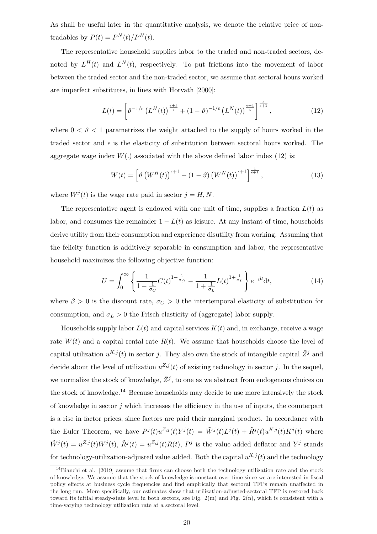As shall be useful later in the quantitative analysis, we denote the relative price of nontradables by  $P(t) = P^{N}(t)/P^{H}(t)$ .

The representative household supplies labor to the traded and non-traded sectors, denoted by  $L^H(t)$  and  $L^N(t)$ , respectively. To put frictions into the movement of labor between the traded sector and the non-traded sector, we assume that sectoral hours worked are imperfect substitutes, in lines with Horvath [2000]:

$$
L(t) = \left[\vartheta^{-1/\epsilon} \left(L^H(t)\right)^{\frac{\epsilon+1}{\epsilon}} + (1-\vartheta)^{-1/\epsilon} \left(L^N(t)\right)^{\frac{\epsilon+1}{\epsilon}}\right]^{\frac{\epsilon}{\epsilon+1}},\tag{12}
$$

where  $0 < \vartheta < 1$  parametrizes the weight attached to the supply of hours worked in the traded sector and  $\epsilon$  is the elasticity of substitution between sectoral hours worked. The aggregate wage index  $W(.)$  associated with the above defined labor index (12) is:

$$
W(t) = \left[\vartheta\left(W^H(t)\right)^{\epsilon+1} + (1-\vartheta)\left(W^N(t)\right)^{\epsilon+1}\right]^{\frac{1}{\epsilon+1}},\tag{13}
$$

where  $W^{j}(t)$  is the wage rate paid in sector  $j = H, N$ .

The representative agent is endowed with one unit of time, supplies a fraction  $L(t)$  as labor, and consumes the remainder  $1 - L(t)$  as leisure. At any instant of time, households derive utility from their consumption and experience disutility from working. Assuming that the felicity function is additively separable in consumption and labor, the representative household maximizes the following objective function:

$$
U = \int_0^\infty \left\{ \frac{1}{1 - \frac{1}{\sigma_C}} C(t)^{1 - \frac{1}{\sigma_C}} - \frac{1}{1 + \frac{1}{\sigma_L}} L(t)^{1 + \frac{1}{\sigma_L}} \right\} e^{-\beta t} dt,\tag{14}
$$

where  $\beta > 0$  is the discount rate,  $\sigma_C > 0$  the intertemporal elasticity of substitution for consumption, and  $\sigma_L > 0$  the Frisch elasticity of (aggregate) labor supply.

Households supply labor  $L(t)$  and capital services  $K(t)$  and, in exchange, receive a wage rate  $W(t)$  and a capital rental rate  $R(t)$ . We assume that households choose the level of capital utilization  $u^{K,j}(t)$  in sector j. They also own the stock of intangible capital  $\bar{Z}^j$  and decide about the level of utilization  $u^{Z,j}(t)$  of existing technology in sector j. In the sequel, we normalize the stock of knowledge,  $\bar{Z}^j$ , to one as we abstract from endogenous choices on the stock of knowledge.<sup>14</sup> Because households may decide to use more intensively the stock of knowledge in sector  $j$  which increases the efficiency in the use of inputs, the counterpart is a rise in factor prices, since factors are paid their marginal product. In accordance with the Euler Theorem, we have  $P^j(t)u^{Z,j}(t)Y^j(t) = \tilde{W}^j(t)L^j(t) + \tilde{R}^j(t)u^{K,j}(t)K^j(t)$  where  $\tilde{W}^{j}(t) = u^{Z,j}(t)W^{j}(t), \ \tilde{R}^{j}(t) = u^{Z,j}(t)R(t), P^{j}$  is the value added deflator and  $Y^{j}$  stands for technology-utilization-adjusted value added. Both the capital  $u^{K,j}(t)$  and the technology

<sup>&</sup>lt;sup>14</sup>Bianchi et al. [2019] assume that firms can choose both the technology utilization rate and the stock of knowledge. We assume that the stock of knowledge is constant over time since we are interested in fiscal policy effects at business cycle frequencies and find empirically that sectoral TFPs remain unaffected in the long run. More specifically, our estimates show that utilization-adjusted-sectoral TFP is restored back toward its initial steady-state level in both sectors, see Fig.  $2(m)$  and Fig.  $2(n)$ , which is consistent with a time-varying technology utilization rate at a sectoral level.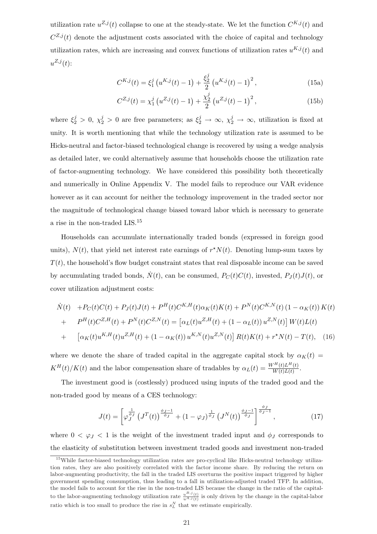utilization rate  $u^{Z,j}(t)$  collapse to one at the steady-state. We let the function  $C^{K,j}(t)$  and  $C^{Z,j}(t)$  denote the adjustment costs associated with the choice of capital and technology utilization rates, which are increasing and convex functions of utilization rates  $u^{K,j}(t)$  and  $u^{Z,j}(t)$ :

$$
C^{K,j}(t) = \xi_1^j \left( u^{K,j}(t) - 1 \right) + \frac{\xi_2^j}{2} \left( u^{K,j}(t) - 1 \right)^2, \tag{15a}
$$

$$
C^{Z,j}(t) = \chi_1^j \left( u^{Z,j}(t) - 1 \right) + \frac{\chi_2^j}{2} \left( u^{Z,j}(t) - 1 \right)^2, \tag{15b}
$$

where  $\xi_2^j > 0$ ,  $\chi_2^j > 0$  are free parameters; as  $\xi_2^j \to \infty$ ,  $\chi_2^j \to \infty$ , utilization is fixed at unity. It is worth mentioning that while the technology utilization rate is assumed to be Hicks-neutral and factor-biased technological change is recovered by using a wedge analysis as detailed later, we could alternatively assume that households choose the utilization rate of factor-augmenting technology. We have considered this possibility both theoretically and numerically in Online Appendix V. The model fails to reproduce our VAR evidence however as it can account for neither the technology improvement in the traded sector nor the magnitude of technological change biased toward labor which is necessary to generate a rise in the non-traded LIS.<sup>15</sup>

Households can accumulate internationally traded bonds (expressed in foreign good units),  $N(t)$ , that yield net interest rate earnings of  $r^*N(t)$ . Denoting lump-sum taxes by  $T(t)$ , the household's flow budget constraint states that real disposable income can be saved by accumulating traded bonds,  $\dot{N}(t)$ , can be consumed,  $P_C(t)C(t)$ , invested,  $P_J(t)J(t)$ , or cover utilization adjustment costs:

$$
\dot{N}(t) + P_C(t)C(t) + P_J(t)J(t) + P^H(t)C^{K,H}(t)\alpha_K(t)K(t) + P^N(t)C^{K,N}(t) (1 - \alpha_K(t))K(t) \n+ P^H(t)C^{Z,H}(t) + P^N(t)C^{Z,N}(t) = [\alpha_L(t)u^{Z,H}(t) + (1 - \alpha_L(t))u^{Z,N}(t)] W(t)L(t) \n+ [\alpha_K(t)u^{K,H}(t)u^{Z,H}(t) + (1 - \alpha_K(t))u^{K,N}(t)u^{Z,N}(t)] R(t)K(t) + r^*N(t) - T(t),
$$
\n(16)

where we denote the share of traded capital in the aggregate capital stock by  $\alpha_K(t)$  =  $K^H(t)/K(t)$  and the labor compensation share of tradables by  $\alpha_L(t) = \frac{W^H(t)L^H(t)}{W(t)L(t)}$ .

The investment good is (costlessly) produced using inputs of the traded good and the non-traded good by means of a CES technology:

$$
J(t) = \left[\varphi_J^{\frac{1}{\phi_J}} \left(J^T(t)\right)^{\frac{\phi_J - 1}{\phi_J}} + (1 - \varphi_J)^{\frac{1}{\phi_J}} \left(J^N(t)\right)^{\frac{\phi_J - 1}{\phi_J}}\right]^{\frac{\phi_J}{\phi_J - 1}},\tag{17}
$$

where  $0 < \varphi_J < 1$  is the weight of the investment traded input and  $\phi_J$  corresponds to the elasticity of substitution between investment traded goods and investment non-traded

<sup>&</sup>lt;sup>15</sup>While factor-biased technology utilization rates are pro-cyclical like Hicks-neutral technology utilization rates, they are also positively correlated with the factor income share. By reducing the return on labor-augmenting productivity, the fall in the traded LIS overturns the positive impact triggered by higher government spending consumption, thus leading to a fall in utilization-adjusted traded TFP. In addition, the model fails to account for the rise in the non-traded LIS because the change in the ratio of the capitalto the labor-augmenting technology utilization rate  $\frac{u^{B,j}(t)}{u^{A,j}(t)}$  is only driven by the change in the capital-labor ratio which is too small to produce the rise in  $s_L^N$  that we estimate empirically.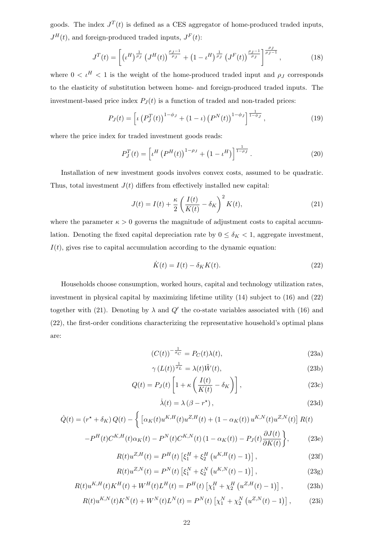goods. The index  $J<sup>T</sup>(t)$  is defined as a CES aggregator of home-produced traded inputs,  $J^H(t)$ , and foreign-produced traded inputs,  $J^F(t)$ :

$$
J^{T}(t) = \left[ \left( \iota^{H} \right)^{\frac{1}{\rho_{J}}} \left( J^{H}(t) \right)^{\frac{\rho_{J}-1}{\rho_{J}}} + \left( 1 - \iota^{H} \right)^{\frac{1}{\rho_{J}}} \left( J^{F}(t) \right)^{\frac{\rho_{J}-1}{\rho_{J}}} \right]^{\frac{\rho_{J}}{\rho_{J}-1}}, \tag{18}
$$

where  $0 < \iota^H < 1$  is the weight of the home-produced traded input and  $\rho_J$  corresponds to the elasticity of substitution between home- and foreign-produced traded inputs. The investment-based price index  $P_J(t)$  is a function of traded and non-traded prices:

$$
P_J(t) = \left[ \iota \left( P_J^T(t) \right)^{1 - \phi_J} + (1 - \iota) \left( P^N(t) \right)^{1 - \phi_J} \right]^{1 \over 1 - \phi_J}, \tag{19}
$$

where the price index for traded investment goods reads:

$$
P_J^T(t) = \left[ \iota^H \left( P^H(t) \right)^{1 - \rho_J} + \left( 1 - \iota^H \right) \right]^{\frac{1}{1 - \rho_J}}.
$$
 (20)

Installation of new investment goods involves convex costs, assumed to be quadratic. Thus, total investment  $J(t)$  differs from effectively installed new capital:

$$
J(t) = I(t) + \frac{\kappa}{2} \left( \frac{I(t)}{K(t)} - \delta_K \right)^2 K(t), \tag{21}
$$

where the parameter  $\kappa > 0$  governs the magnitude of adjustment costs to capital accumulation. Denoting the fixed capital depreciation rate by  $0 \le \delta_K < 1$ , aggregate investment,  $I(t)$ , gives rise to capital accumulation according to the dynamic equation:

$$
\dot{K}(t) = I(t) - \delta_K K(t). \tag{22}
$$

Households choose consumption, worked hours, capital and technology utilization rates, investment in physical capital by maximizing lifetime utility (14) subject to (16) and (22) together with (21). Denoting by  $\lambda$  and  $Q'$  the co-state variables associated with (16) and (22), the first-order conditions characterizing the representative household's optimal plans are:

$$
(C(t))^{-\frac{1}{\sigma_C}} = P_C(t)\lambda(t),\tag{23a}
$$

$$
\gamma \left( L(t) \right)^{\frac{1}{\sigma_L}} = \lambda(t) \tilde{W}(t),\tag{23b}
$$

$$
Q(t) = P_J(t) \left[ 1 + \kappa \left( \frac{I(t)}{K(t)} - \delta_K \right) \right],
$$
\n(23c)

$$
\dot{\lambda}(t) = \lambda \left(\beta - r^{\star}\right),\tag{23d}
$$

$$
\dot{Q}(t) = (r^* + \delta_K) Q(t) - \left\{ \left[ \alpha_K(t) u^{K,H}(t) u^{Z,H}(t) + (1 - \alpha_K(t)) u^{K,N}(t) u^{Z,N}(t) \right] R(t) - P^H(t) C^{K,H}(t) \alpha_K(t) - P^N(t) C^{K,N}(t) (1 - \alpha_K(t)) - P_J(t) \frac{\partial J(t)}{\partial K(t)} \right\},
$$
\n(23e)

$$
R(t)u^{Z,H}(t) = P^{H}(t) \left[ \xi_{1}^{H} + \xi_{2}^{H} \left( u^{K,H}(t) - 1 \right) \right],
$$
\n(23f)

$$
R(t)u^{Z,N}(t) = P^{N}(t) \left[ \xi_1^{N} + \xi_2^{N} \left( u^{K,N}(t) - 1 \right) \right],
$$
\n(23g)

$$
R(t)u^{K,H}(t)K^{H}(t) + W^{H}(t)L^{H}(t) = P^{H}(t)\left[\chi_{1}^{H} + \chi_{2}^{H}\left(u^{Z,H}(t) - 1\right)\right],
$$
\n(23h)

$$
R(t)u^{K,N}(t)K^{N}(t) + W^{N}(t)L^{N}(t) = P^{N}(t)\left[\chi_{1}^{N} + \chi_{2}^{N}\left(u^{Z,N}(t) - 1\right)\right],\tag{23i}
$$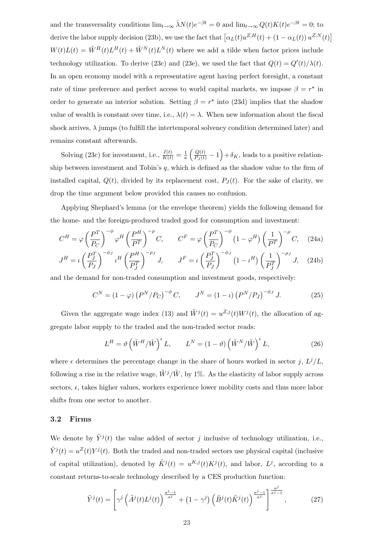and the transversality conditions  $\lim_{t\to\infty} \bar{\lambda}N(t)e^{-\beta t} = 0$  and  $\lim_{t\to\infty} Q(t)K(t)e^{-\beta t} = 0$ ; to derive the labor supply decision (23b), we use the fact that  $\left[\alpha_L(t)u^{Z,H}(t) + (1 - \alpha_L(t))u^{Z,N}(t)\right]$  $W(t)L(t) = \tilde{W}^{H}(t)L^{H}(t) + \tilde{W}^{N}(t)L^{N}(t)$  where we add a tilde when factor prices include technology utilization. To derive (23c) and (23e), we used the fact that  $Q(t) = Q'(t)/\lambda(t)$ . In an open economy model with a representative agent having perfect foresight, a constant rate of time preference and perfect access to world capital markets, we impose  $\beta = r^*$  in order to generate an interior solution. Setting  $\beta = r^*$  into (23d) implies that the shadow value of wealth is constant over time, i.e.,  $\lambda(t) = \lambda$ . When new information about the fiscal shock arrives,  $\lambda$  jumps (to fulfill the intertemporal solvency condition determined later) and remains constant afterwards.

Solving (23c) for investment, i.e.,  $\frac{I(t)}{K(t)} = \frac{1}{\kappa}$ κ  $\left(\frac{Q(t)}{P_J(t)}-1\right)$ ´  $+\delta_K$ , leads to a positive relationship between investment and Tobin's  $q$ , which is defined as the shadow value to the firm of installed capital,  $Q(t)$ , divided by its replacement cost,  $P<sub>J</sub>(t)$ . For the sake of clarity, we drop the time argument below provided this causes no confusion.

Applying Shephard's lemma (or the envelope theorem) yields the following demand for the home- and the foreign-produced traded good for consumption and investment:

$$
C^{H} = \varphi \left(\frac{P^{T}}{P_{C}}\right)^{-\phi} \varphi^{H} \left(\frac{P^{H}}{P^{T}}\right)^{-\rho} C, \qquad C^{F} = \varphi \left(\frac{P^{T}}{P_{C}}\right)^{-\phi} \left(1 - \varphi^{H}\right) \left(\frac{1}{P^{T}}\right)^{-\rho} C, \quad (24a)
$$

$$
J^H = \iota \left(\frac{P_J^T}{P_J}\right)^{-\phi_J} \iota^H \left(\frac{P^H}{P_J^T}\right)^{-\rho_J} J, \qquad J^F = \iota \left(\frac{P_J^T}{P_J}\right)^{-\phi_J} \left(1 - \iota^H\right) \left(\frac{1}{P_J^T}\right)^{-\rho_J} J, \quad (24b)
$$

and the demand for non-traded consumption and investment goods, respectively:

$$
C^{N} = (1 - \varphi) \left( P^{N} / P_{C} \right)^{-\phi} C, \qquad J^{N} = (1 - \iota) \left( P^{N} / P_{J} \right)^{-\phi_{J}} J. \tag{25}
$$

Given the aggregate wage index (13) and  $\tilde{W}^{j}(t) = u^{Z,j}(t)W^{j}(t)$ , the allocation of aggregate labor supply to the traded and the non-traded sector reads:

$$
L^H = \vartheta \left( \tilde{W}^H / \tilde{W} \right)^{\epsilon} L, \qquad L^N = (1 - \vartheta) \left( \tilde{W}^N / \tilde{W} \right)^{\epsilon} L, \tag{26}
$$

where  $\epsilon$  determines the percentage change in the share of hours worked in sector j,  $L^j/L$ , following a rise in the relative wage,  $\tilde{W}^j/\tilde{W}$ , by 1%. As the elasticity of labor supply across sectors,  $\epsilon$ , takes higher values, workers experience lower mobility costs and thus more labor shifts from one sector to another.

#### 3.2 Firms

We denote by  $\tilde{Y}^{j}(t)$  the value added of sector j inclusive of technology utilization, i.e.,  $\tilde{Y}^{j}(t) = u^{Z}(t)Y^{j}(t)$ . Both the traded and non-traded sectors use physical capital (inclusive of capital utilization), denoted by  $\tilde{K}^{j}(t) = u^{K,j}(t)K^{j}(t)$ , and labor,  $L^{j}$ , according to a constant returns-to-scale technology described by a CES production function:

$$
\tilde{Y}^{j}(t) = \left[\gamma^{j}\left(\tilde{A}^{j}(t)L^{j}(t)\right)^{\frac{\sigma^{j}-1}{\sigma^{j}}} + \left(1-\gamma^{j}\right)\left(\tilde{B}^{j}(t)\tilde{K}^{j}(t)\right)^{\frac{\sigma^{j}-1}{\sigma^{j}}} \right]^{\frac{\sigma^{j}}{\sigma^{j}-1}},\tag{27}
$$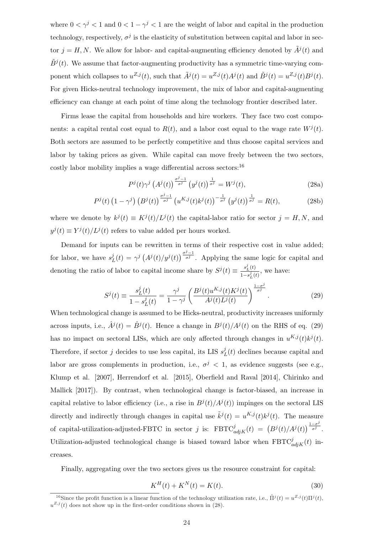where  $0 < \gamma^j < 1$  and  $0 < 1 - \gamma^j < 1$  are the weight of labor and capital in the production technology, respectively,  $\sigma^j$  is the elasticity of substitution between capital and labor in sector  $j = H, N$ . We allow for labor- and capital-augmenting efficiency denoted by  $\tilde{A}^{j}(t)$  and  $\tilde{B}^{j}(t)$ . We assume that factor-augmenting productivity has a symmetric time-varying component which collapses to  $u^{Z,j}(t)$ , such that  $\tilde{A}^j(t) = u^{Z,j}(t)A^j(t)$  and  $\tilde{B}^j(t) = u^{Z,j}(t)B^j(t)$ . For given Hicks-neutral technology improvement, the mix of labor and capital-augmenting efficiency can change at each point of time along the technology frontier described later.

Firms lease the capital from households and hire workers. They face two cost components: a capital rental cost equal to  $R(t)$ , and a labor cost equal to the wage rate  $W^{j}(t)$ . Both sectors are assumed to be perfectly competitive and thus choose capital services and labor by taking prices as given. While capital can move freely between the two sectors, costly labor mobility implies a wage differential across sectors:<sup>16</sup>

$$
P^{j}(t)\gamma^{j}\left(A^{j}(t)\right)^{\frac{\sigma^{j}-1}{\sigma^{j}}}\left(y^{j}(t)\right)^{\frac{1}{\sigma^{j}}} = W^{j}(t),\tag{28a}
$$

$$
P^{j}(t)\left(1-\gamma^{j}\right)\left(B^{j}(t)\right)^{\frac{\sigma^{j}-1}{\sigma^{j}}}\left(u^{K,j}(t)k^{j}(t)\right)^{-\frac{1}{\sigma^{j}}}\left(y^{j}(t)\right)^{\frac{1}{\sigma^{j}}} = R(t),\tag{28b}
$$

where we denote by  $k^{j}(t) \equiv K^{j}(t)/L^{j}(t)$  the capital-labor ratio for sector  $j = H, N$ , and  $y^{j}(t) \equiv Y^{j}(t)/L^{j}(t)$  refers to value added per hours worked.

Demand for inputs can be rewritten in terms of their respective cost in value added; for labor, we have  $s_I^j$  $L^{j}(t) = \gamma^{j} \left( A^{j}(t) / y^{j}(t) \right)$  $\int_{0}^{\frac{\sigma^j-1}{\sigma^j}}$ . Applying the same logic for capital and denoting the ratio of labor to capital income share by  $S^{j}(t) \equiv \frac{s_{L}^{j}(t)}{1-t_{L}^{j}(t)}$  $\frac{s_L(t)}{1-s_L^j(t)}$ , we have:

$$
S^{j}(t) \equiv \frac{s_{L}^{j}(t)}{1 - s_{L}^{j}(t)} = \frac{\gamma^{j}}{1 - \gamma^{j}} \left( \frac{B^{j}(t)u^{K,j}(t)K^{j}(t)}{A^{j}(t)L^{j}(t)} \right)^{\frac{1 - \sigma^{j}}{\sigma^{j}}}.
$$
\n(29)

When technological change is assumed to be Hicks-neutral, productivity increases uniformly across inputs, i.e.,  $\hat{A}^j(t) = \hat{B}^j(t)$ . Hence a change in  $B^j(t)/A^j(t)$  on the RHS of eq. (29) has no impact on sectoral LISs, which are only affected through changes in  $u^{K,j}(t)k^j(t)$ . Therefore, if sector j decides to use less capital, its LIS  $s_i^j$  $_{L}^{j}(t)$  declines because capital and labor are gross complements in production, i.e.,  $\sigma^{j}$  < 1, as evidence suggests (see e.g., Klump et al. [2007], Herrendorf et al. [2015], Oberfield and Raval [2014], Chirinko and Mallick [2017]). By contrast, when technological change is factor-biased, an increase in capital relative to labor efficiency (i.e., a rise in  $B^{j}(t)/A^{j}(t)$ ) impinges on the sectoral LIS directly and indirectly through changes in capital use  $\tilde{k}^{j}(t) = u^{K,j}(t)k^{j}(t)$ . The measure of capital-utilization-adjusted-FBTC in sector j is:  $FBTC_{adjK}^{j}(t) = (B^{j}(t)/A^{j}(t))$  $\frac{1-\sigma^j}{\sigma^j}$  $\overline{\sigma^j}$ . Utilization-adjusted technological change is biased toward labor when  $\text{FBTC}_{adjK}^{j}(t)$  increases.

Finally, aggregating over the two sectors gives us the resource constraint for capital:

$$
K^{H}(t) + K^{N}(t) = K(t).
$$
\n(30)

<sup>&</sup>lt;sup>16</sup>Since the profit function is a linear function of the technology utilization rate, i.e.,  $\tilde{\Pi}^j(t) = u^{Z,j}(t)\Pi^j(t)$ ,  $u^{Z,j}(t)$  does not show up in the first-order conditions shown in (28).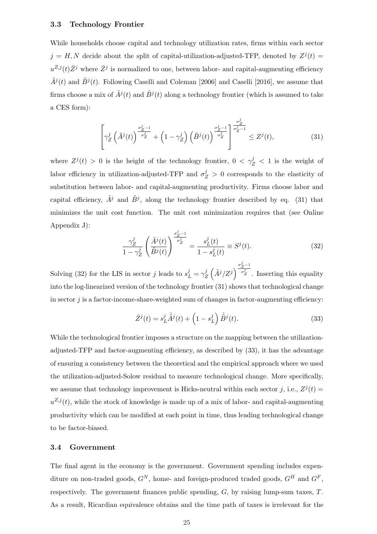#### 3.3 Technology Frontier

While households choose capital and technology utilization rates, firms within each sector  $j = H, N$  decide about the split of capital-utilization-adjusted-TFP, denoted by  $Z^{j}(t) =$  $u^{Z,j}(t)\bar{Z}^j$  where  $\bar{Z}^j$  is normalized to one, between labor- and capital-augmenting efficiency  $\tilde{A}^j(t)$  and  $\tilde{B}^j(t)$ . Following Caselli and Coleman [2006] and Caselli [2016], we assume that firms choose a mix of  $\tilde{A}^j(t)$  and  $\tilde{B}^j(t)$  along a technology frontier (which is assumed to take a CES form):

$$
\left[\gamma_Z^j\left(\tilde{A}^j(t)\right)^{\frac{\sigma_Z^j-1}{\sigma_Z^j}} + \left(1-\gamma_Z^j\right)\left(\tilde{B}^j(t)\right)^{\frac{\sigma_Z^j-1}{\sigma_Z^j}}\right]^{\frac{\sigma_Z^j}{\sigma_Z^j-1}} \le Z^j(t),\tag{31}
$$

where  $Z^{j}(t) > 0$  is the height of the technology frontier,  $0 < \gamma_{Z}^{j} < 1$  is the weight of labor efficiency in utilization-adjusted-TFP and  $\sigma_Z^j > 0$  corresponds to the elasticity of substitution between labor- and capital-augmenting productivity. Firms choose labor and capital efficiency,  $\tilde{A}^j$  and  $\tilde{B}^j$ , along the technology frontier described by eq. (31) that minimizes the unit cost function. The unit cost minimization requires that (see Online Appendix J):

$$
\frac{\gamma_Z^j}{1 - \gamma_Z^j} \left( \frac{\tilde{A}^j(t)}{\tilde{B}^j(t)} \right)^{\frac{\sigma_Z^j - 1}{\sigma_Z^j}} = \frac{s_L^j(t)}{1 - s_L^j(t)} \equiv S^j(t). \tag{32}
$$

Solving (32) for the LIS in sector j leads to  $s_L^j = \gamma_Z^j$ Z  $\overline{a}$  $\tilde{A}^j/Z^j$  $\frac{\sigma_Z^j - 1}{2}$  $\overline{\sigma_Z^j}$ . Inserting this equality into the log-linearized version of the technology frontier (31) shows that technological change in sector  $j$  is a factor-income-share-weighted sum of changes in factor-augmenting efficiency:

$$
\hat{Z}^j(t) = s_L^j \hat{\tilde{A}}^j(t) + \left(1 - s_L^j\right) \hat{\tilde{B}}^j(t). \tag{33}
$$

While the technological frontier imposes a structure on the mapping between the utilizationadjusted-TFP and factor-augmenting efficiency, as described by (33), it has the advantage of ensuring a consistency between the theoretical and the empirical approach where we used the utilization-adjusted-Solow residual to measure technological change. More specifically, we assume that technology improvement is Hicks-neutral within each sector j, i.e.,  $Z^{j}(t)$  =  $u^{Z,j}(t)$ , while the stock of knowledge is made up of a mix of labor- and capital-augmenting productivity which can be modified at each point in time, thus leading technological change to be factor-biased.

#### 3.4 Government

The final agent in the economy is the government. Government spending includes expenditure on non-traded goods,  $G^N$ , home- and foreign-produced traded goods,  $G^H$  and  $G^F$ , respectively. The government finances public spending,  $G$ , by raising lump-sum taxes,  $T$ . As a result, Ricardian equivalence obtains and the time path of taxes is irrelevant for the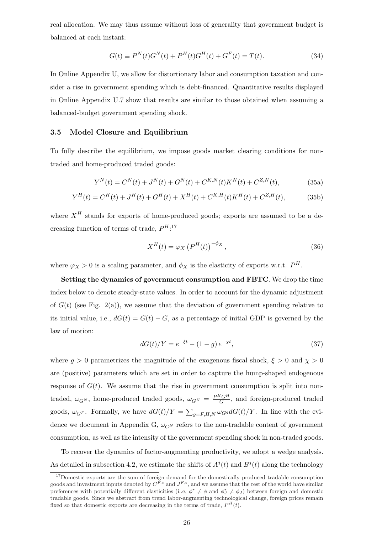real allocation. We may thus assume without loss of generality that government budget is balanced at each instant:

$$
G(t) \equiv P^{N}(t)G^{N}(t) + P^{H}(t)G^{H}(t) + G^{F}(t) = T(t).
$$
\n(34)

In Online Appendix U, we allow for distortionary labor and consumption taxation and consider a rise in government spending which is debt-financed. Quantitative results displayed in Online Appendix U.7 show that results are similar to those obtained when assuming a balanced-budget government spending shock.

#### 3.5 Model Closure and Equilibrium

To fully describe the equilibrium, we impose goods market clearing conditions for nontraded and home-produced traded goods:

$$
Y^{N}(t) = C^{N}(t) + J^{N}(t) + G^{N}(t) + C^{K,N}(t)K^{N}(t) + C^{Z,N}(t),
$$
\n(35a)

$$
Y^{H}(t) = C^{H}(t) + J^{H}(t) + G^{H}(t) + X^{H}(t) + C^{K,H}(t)K^{H}(t) + C^{Z,H}(t),
$$
 (35b)

where  $X^H$  stands for exports of home-produced goods; exports are assumed to be a decreasing function of terms of trade,  $P^{H.17}$ 

$$
X^{H}(t) = \varphi_X \left( P^{H}(t) \right)^{-\phi_X}, \qquad (36)
$$

where  $\varphi_X > 0$  is a scaling parameter, and  $\phi_X$  is the elasticity of exports w.r.t.  $P^H$ .

Setting the dynamics of government consumption and FBTC. We drop the time index below to denote steady-state values. In order to account for the dynamic adjustment of  $G(t)$  (see Fig. 2(a)), we assume that the deviation of government spending relative to its initial value, i.e.,  $dG(t) = G(t) - G$ , as a percentage of initial GDP is governed by the law of motion:

$$
dG(t)/Y = e^{-\xi t} - (1 - g) e^{-\chi t},
$$
\n(37)

where  $g > 0$  parametrizes the magnitude of the exogenous fiscal shock,  $\xi > 0$  and  $\chi > 0$ are (positive) parameters which are set in order to capture the hump-shaped endogenous response of  $G(t)$ . We assume that the rise in government consumption is split into nontraded,  $\omega_{G^N}$ , home-produced traded goods,  $\omega_{G^H} = \frac{P^H G^H}{G}$  $\frac{G}{G}$ , and foreign-produced traded goods,  $\omega_{G}$ . Formally, we have  $dG(t)/Y =$  $\overline{ }$  $_{g=F,H,N}\,\omega_{G^g}dG(t)/Y$ . In line with the evidence we document in Appendix G,  $\omega_{G^N}$  refers to the non-tradable content of government consumption, as well as the intensity of the government spending shock in non-traded goods.

To recover the dynamics of factor-augmenting productivity, we adopt a wedge analysis. As detailed in subsection 4.2, we estimate the shifts of  $A^{j}(t)$  and  $B^{j}(t)$  along the technology

<sup>&</sup>lt;sup>17</sup>Domestic exports are the sum of foreign demand for the domestically produced tradable consumption goods and investment inputs denoted by  $C^{F,\star}$  and  $J^{F,\star}$ , and we assume that the rest of the world have similar preferences with potentially different elasticities (i.e,  $\phi^* \neq \phi$  and  $\phi_J^* \neq \phi_J$ ) between foreign and domestic tradable goods. Since we abstract from trend labor-augmenting technological change, foreign prices remain fixed so that domestic exports are decreasing in the terms of trade,  $P^{H}(t)$ .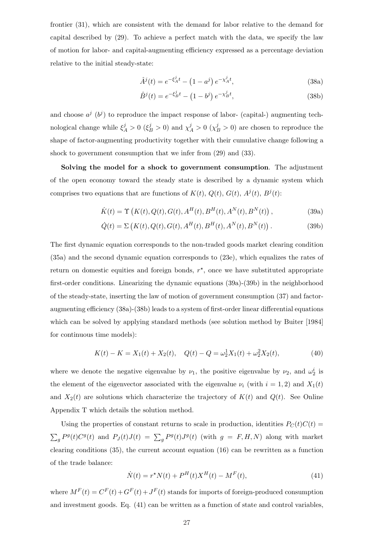frontier (31), which are consistent with the demand for labor relative to the demand for capital described by (29). To achieve a perfect match with the data, we specify the law of motion for labor- and capital-augmenting efficiency expressed as a percentage deviation relative to the initial steady-state:

$$
\hat{A}^{j}(t) = e^{-\xi_{A}^{j}t} - (1 - a^{j}) e^{-\chi_{A}^{j}t},
$$
\n(38a)

$$
\hat{B}^{j}(t) = e^{-\xi_{B}^{j}t} - (1 - b^{j}) e^{-\chi_{B}^{j}t},
$$
\n(38b)

and choose  $a^j$  ( $b^j$ ) to reproduce the impact response of labor- (capital-) augmenting technological change while  $\xi_A^j > 0$  ( $\xi_B^j > 0$ ) and  $\chi_A^j > 0$  ( $\chi_B^j > 0$ ) are chosen to reproduce the shape of factor-augmenting productivity together with their cumulative change following a shock to government consumption that we infer from (29) and (33).

Solving the model for a shock to government consumption. The adjustment of the open economy toward the steady state is described by a dynamic system which comprises two equations that are functions of  $K(t)$ ,  $Q(t)$ ,  $G(t)$ ,  $A^{j}(t)$ ,  $B^{j}(t)$ :

$$
\dot{K}(t) = \Upsilon \left( K(t), Q(t), G(t), A^{H}(t), B^{H}(t), A^{N}(t), B^{N}(t) \right),
$$
\n(39a)

$$
\dot{Q}(t) = \Sigma \left( K(t), Q(t), G(t), A^{H}(t), B^{H}(t), A^{N}(t), B^{N}(t) \right). \tag{39b}
$$

The first dynamic equation corresponds to the non-traded goods market clearing condition (35a) and the second dynamic equation corresponds to (23e), which equalizes the rates of return on domestic equities and foreign bonds,  $r^*$ , once we have substituted appropriate first-order conditions. Linearizing the dynamic equations (39a)-(39b) in the neighborhood of the steady-state, inserting the law of motion of government consumption (37) and factoraugmenting efficiency (38a)-(38b) leads to a system of first-order linear differential equations which can be solved by applying standard methods (see solution method by Buiter [1984] for continuous time models):

$$
K(t) - K = X_1(t) + X_2(t), \quad Q(t) - Q = \omega_2^1 X_1(t) + \omega_2^2 X_2(t), \tag{40}
$$

where we denote the negative eigenvalue by  $\nu_1$ , the positive eigenvalue by  $\nu_2$ , and  $\omega_2^i$  is the element of the eigenvector associated with the eigenvalue  $\nu_i$  (with  $i = 1, 2$ ) and  $X_1(t)$ and  $X_2(t)$  are solutions which characterize the trajectory of  $K(t)$  and  $Q(t)$ . See Online Appendix T which details the solution method.

Using the properties of constant returns to scale in production, identities  $P_C(t)C(t)$  =  $\overline{ }$  $g P<sup>g</sup>(t)C<sup>g</sup>(t)$  and  $P<sub>J</sub>(t)J(t) = \sum_g P<sup>g</sup>(t)J<sup>g</sup>(t)$  (with  $g = F, H, N$ ) along with market clearing conditions (35), the current account equation (16) can be rewritten as a function of the trade balance:

$$
\dot{N}(t) = r^* N(t) + P^H(t) X^H(t) - M^F(t),
$$
\n(41)

where  $M^{F}(t) = C^{F}(t) + G^{F}(t) + J^{F}(t)$  stands for imports of foreign-produced consumption and investment goods. Eq. (41) can be written as a function of state and control variables,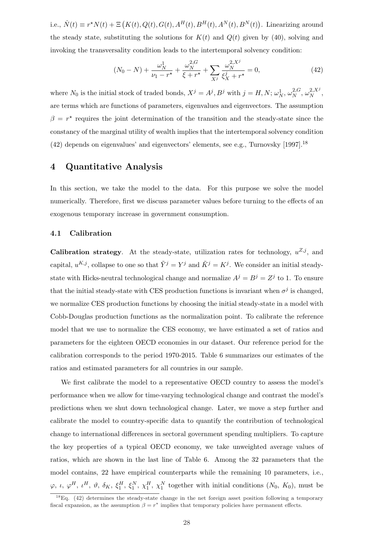i.e.,  $\dot{N}(t) \equiv r^* N(t) + \Xi \left( K(t), Q(t), G(t), A^H(t), B^H(t), A^N(t), B^N(t) \right)$ . Linearizing around the steady state, substituting the solutions for  $K(t)$  and  $Q(t)$  given by (40), solving and invoking the transversality condition leads to the intertemporal solvency condition:

$$
(N_0 - N) + \frac{\omega_N^1}{\nu_1 - r^*} + \frac{\omega_N^{2,G}}{\xi + r^*} + \sum_{X^j} \frac{\omega_N^{2,X^j}}{\xi_X^j + r^*} = 0,
$$
\n(42)

where  $N_0$  is the initial stock of traded bonds,  $X^j = A^j, B^j$  with  $j = H, N; \omega_N^1, \omega_N^{2, G}$  $\frac{2}{N}$ ,  $\omega_N^{2,X^j}$  $\frac{2, X^J}{N},$ are terms which are functions of parameters, eigenvalues and eigenvectors. The assumption  $\beta = r^*$  requires the joint determination of the transition and the steady-state since the constancy of the marginal utility of wealth implies that the intertemporal solvency condition (42) depends on eigenvalues' and eigenvectors' elements, see e.g., Turnovsky  $[1997].^{18}$ 

## 4 Quantitative Analysis

In this section, we take the model to the data. For this purpose we solve the model numerically. Therefore, first we discuss parameter values before turning to the effects of an exogenous temporary increase in government consumption.

#### 4.1 Calibration

**Calibration strategy**. At the steady-state, utilization rates for technology,  $u^{Z,j}$ , and capital,  $u^{K,j}$ , collapse to one so that  $\tilde{Y}^j = Y^j$  and  $\tilde{K}^j = K^j$ . We consider an initial steadystate with Hicks-neutral technological change and normalize  $A^{j} = B^{j} = Z^{j}$  to 1. To ensure that the initial steady-state with CES production functions is invariant when  $\sigma^j$  is changed, we normalize CES production functions by choosing the initial steady-state in a model with Cobb-Douglas production functions as the normalization point. To calibrate the reference model that we use to normalize the CES economy, we have estimated a set of ratios and parameters for the eighteen OECD economies in our dataset. Our reference period for the calibration corresponds to the period 1970-2015. Table 6 summarizes our estimates of the ratios and estimated parameters for all countries in our sample.

We first calibrate the model to a representative OECD country to assess the model's performance when we allow for time-varying technological change and contrast the model's predictions when we shut down technological change. Later, we move a step further and calibrate the model to country-specific data to quantify the contribution of technological change to international differences in sectoral government spending multipliers. To capture the key properties of a typical OECD economy, we take unweighted average values of ratios, which are shown in the last line of Table 6. Among the 32 parameters that the model contains, 22 have empirical counterparts while the remaining 10 parameters, i.e.,  $\varphi$ ,  $\iota$ ,  $\varphi^H$ ,  $\iota^H$ ,  $\vartheta$ ,  $\delta_K$ ,  $\xi_1^H$ ,  $\xi_1^N$ ,  $\chi_1^H$ ,  $\chi_1^N$  together with initial conditions  $(N_0, K_0)$ , must be

<sup>&</sup>lt;sup>18</sup>Eq. (42) determines the steady-state change in the net foreign asset position following a temporary fiscal expansion, as the assumption  $\beta = r^*$  implies that temporary policies have permanent effects.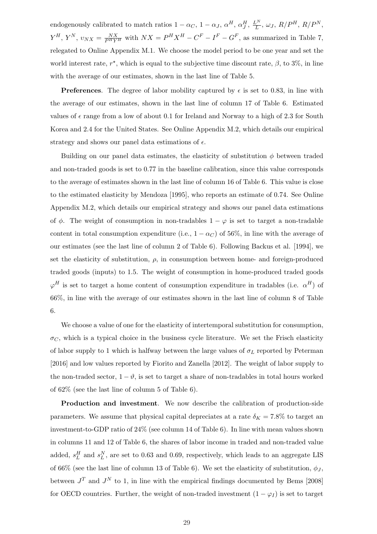endogenously calibrated to match ratios  $1 - \alpha_C$ ,  $1 - \alpha_J$ ,  $\alpha^H$ ,  $\alpha^H_J$ ,  $\frac{L^N}{L}$  $L^N$ ,  $\omega_J, R/P^H, R/P^N,$  $Y^H$ ,  $Y^N$ ,  $v_{NX} = \frac{NX}{P^H Y^H}$  with  $NX = P^H X^H - C^F - I^F - G^F$ , as summarized in Table 7, relegated to Online Appendix M.1. We choose the model period to be one year and set the world interest rate,  $r^*$ , which is equal to the subjective time discount rate,  $\beta$ , to 3%, in line with the average of our estimates, shown in the last line of Table 5.

**Preferences.** The degree of labor mobility captured by  $\epsilon$  is set to 0.83, in line with the average of our estimates, shown in the last line of column 17 of Table 6. Estimated values of  $\epsilon$  range from a low of about 0.1 for Ireland and Norway to a high of 2.3 for South Korea and 2.4 for the United States. See Online Appendix M.2, which details our empirical strategy and shows our panel data estimations of  $\epsilon$ .

Building on our panel data estimates, the elasticity of substitution  $\phi$  between traded and non-traded goods is set to 0.77 in the baseline calibration, since this value corresponds to the average of estimates shown in the last line of column 16 of Table 6. This value is close to the estimated elasticity by Mendoza [1995], who reports an estimate of 0.74. See Online Appendix M.2, which details our empirical strategy and shows our panel data estimations of  $\phi$ . The weight of consumption in non-tradables  $1 - \varphi$  is set to target a non-tradable content in total consumption expenditure (i.e.,  $1 - \alpha_C$ ) of 56%, in line with the average of our estimates (see the last line of column 2 of Table 6). Following Backus et al. [1994], we set the elasticity of substitution,  $\rho$ , in consumption between home- and foreign-produced traded goods (inputs) to 1.5. The weight of consumption in home-produced traded goods  $\varphi^H$  is set to target a home content of consumption expenditure in tradables (i.e.  $\alpha^H$ ) of 66%, in line with the average of our estimates shown in the last line of column 8 of Table 6.

We choose a value of one for the elasticity of intertemporal substitution for consumption,  $\sigma_C$ , which is a typical choice in the business cycle literature. We set the Frisch elasticity of labor supply to 1 which is halfway between the large values of  $\sigma_L$  reported by Peterman [2016] and low values reported by Fiorito and Zanella [2012]. The weight of labor supply to the non-traded sector,  $1 - \vartheta$ , is set to target a share of non-tradables in total hours worked of 62% (see the last line of column 5 of Table 6).

Production and investment. We now describe the calibration of production-side parameters. We assume that physical capital depreciates at a rate  $\delta_K = 7.8\%$  to target an investment-to-GDP ratio of 24% (see column 14 of Table 6). In line with mean values shown in columns 11 and 12 of Table 6, the shares of labor income in traded and non-traded value added,  $s_L^H$  and  $s_L^N$ , are set to 0.63 and 0.69, respectively, which leads to an aggregate LIS of 66% (see the last line of column 13 of Table 6). We set the elasticity of substitution,  $\phi_J$ , between  $J<sup>T</sup>$  and  $J<sup>N</sup>$  to 1, in line with the empirical findings documented by Bems [2008] for OECD countries. Further, the weight of non-traded investment  $(1 - \varphi_I)$  is set to target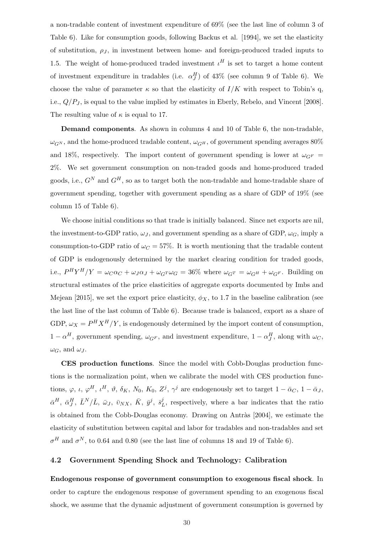a non-tradable content of investment expenditure of 69% (see the last line of column 3 of Table 6). Like for consumption goods, following Backus et al. [1994], we set the elasticity of substitution,  $\rho_J$ , in investment between home- and foreign-produced traded inputs to 1.5. The weight of home-produced traded investment  $\iota^H$  is set to target a home content of investment expenditure in tradables (i.e.  $\alpha_J^H$ ) of 43% (see column 9 of Table 6). We choose the value of parameter  $\kappa$  so that the elasticity of  $I/K$  with respect to Tobin's q, i.e.,  $Q/P_J$ , is equal to the value implied by estimates in Eberly, Rebelo, and Vincent [2008]. The resulting value of  $\kappa$  is equal to 17.

Demand components. As shown in columns 4 and 10 of Table 6, the non-tradable,  $\omega_{G^N}$ , and the home-produced tradable content,  $\omega_{G^H}$ , of government spending averages 80% and 18%, respectively. The import content of government spending is lower at  $\omega_{G^F}$  = 2%. We set government consumption on non-traded goods and home-produced traded goods, i.e.,  $G^N$  and  $G^H$ , so as to target both the non-tradable and home-tradable share of government spending, together with government spending as a share of GDP of 19% (see column 15 of Table 6).

We choose initial conditions so that trade is initially balanced. Since net exports are nil, the investment-to-GDP ratio,  $\omega_J$ , and government spending as a share of GDP,  $\omega_G$ , imply a consumption-to-GDP ratio of  $\omega_C = 57\%$ . It is worth mentioning that the tradable content of GDP is endogenously determined by the market clearing condition for traded goods, i.e.,  $P^H Y^H / Y = \omega_C \alpha_C + \omega_J \alpha_J + \omega_G T \omega_G = 36\%$  where  $\omega_{G}T = \omega_{G}T + \omega_{G}F$ . Building on structural estimates of the price elasticities of aggregate exports documented by Imbs and Mejean [2015], we set the export price elasticity,  $\phi_X$ , to 1.7 in the baseline calibration (see the last line of the last column of Table 6). Because trade is balanced, export as a share of GDP,  $\omega_X = P^H X^H/Y$ , is endogenously determined by the import content of consumption,  $1 - \alpha^H$ , government spending,  $\omega_{G}$ , and investment expenditure,  $1 - \alpha^H_J$ , along with  $\omega_C$ ,  $\omega_G$ , and  $\omega_J$ .

CES production functions. Since the model with Cobb-Douglas production functions is the normalization point, when we calibrate the model with CES production functions,  $\varphi$ ,  $\iota$ ,  $\varphi^H$ ,  $\iota^H$ ,  $\vartheta$ ,  $\delta_K$ ,  $N_0$ ,  $K_0$ ,  $Z^j$ ,  $\gamma^j$  are endogenously set to target  $1 - \bar{\alpha}_C$ ,  $1 - \bar{\alpha}_J$ ,  $\bar{\alpha}^{H},\;\bar{\alpha}^{H}_{J},\;\bar{L}^{N}/\bar{L},\;\bar{\omega}_{J},\;\bar{v}_{NX},\;\bar{K},\;\bar{y}^{j},\;\bar{s}^{j}_{I}$  $L<sup>j</sup>$ , respectively, where a bar indicates that the ratio is obtained from the Cobb-Douglas economy. Drawing on Antràs [2004], we estimate the elasticity of substitution between capital and labor for tradables and non-tradables and set  $\sigma^H$  and  $\sigma^N$ , to 0.64 and 0.80 (see the last line of columns 18 and 19 of Table 6).

#### 4.2 Government Spending Shock and Technology: Calibration

Endogenous response of government consumption to exogenous fiscal shock. In order to capture the endogenous response of government spending to an exogenous fiscal shock, we assume that the dynamic adjustment of government consumption is governed by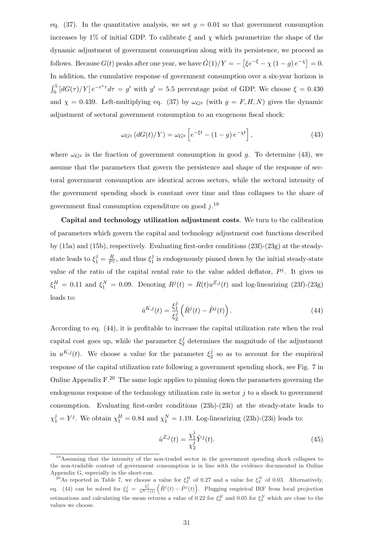eq. (37). In the quantitative analysis, we set  $q = 0.01$  so that government consumption increases by 1% of initial GDP. To calibrate  $\xi$  and  $\chi$  which parametrize the shape of the dynamic adjustment of government consumption along with its persistence, we proceed as follows. Because  $G(t)$  peaks after one year, we have  $\dot{G}(1)/Y = -\left[\xi e^{-\xi} - \chi(1-g)e^{-\chi}\right]$  $= 0.$ In addition, the cumulative response of government consumption over a six-year horizon is  $r<sub>5</sub>$  $\int_0^5 [dG(\tau)/Y] e^{-r^* \tau} d\tau = g'$  with  $g' = 5.5$  percentage point of GDP. We choose  $\xi = 0.430$ and  $\chi = 0.439$ . Left-multiplying eq. (37) by  $\omega_{G}$  (with  $g = F, H, N$ ) gives the dynamic adjustment of sectoral government consumption to an exogenous fiscal shock:

$$
\omega_{G^g} \left( dG(t)/Y \right) = \omega_{G^g} \left[ e^{-\xi t} - (1 - g) e^{-\chi t} \right],\tag{43}
$$

where  $\omega_{G}$  is the fraction of government consumption in good g. To determine (43), we assume that the parameters that govern the persistence and shape of the response of sectoral government consumption are identical across sectors, while the sectoral intensity of the government spending shock is constant over time and thus collapses to the share of government final consumption expenditure on good  $j$ <sup>19</sup>

Capital and technology utilization adjustment costs. We turn to the calibration of parameters which govern the capital and technology adjustment cost functions described by (15a) and (15b), respectively. Evaluating first-order conditions (23f)-(23g) at the steadystate leads to  $\xi_1^j = \frac{R}{P^j}$ , and thus  $\xi_1^j$  $j<sub>1</sub>$  is endogenously pinned down by the initial steady-state value of the ratio of the capital rental rate to the value added deflator,  $P^j$ . It gives us  $\xi_1^H = 0.11$  and  $\xi_1^N = 0.09$ . Denoting  $R^j(t) = R(t)u^{Z,j}(t)$  and log-linearizing (23f)-(23g) leads to:

$$
\hat{u}^{K,j}(t) = \frac{\xi_1^j}{\xi_2^j} \left( \hat{R}^j(t) - \hat{P}^j(t) \right). \tag{44}
$$

According to eq. (44), it is profitable to increase the capital utilization rate when the real capital cost goes up, while the parameter  $\xi_2^j$  $\frac{1}{2}$  determines the magnitude of the adjustment in  $u^{K,j}(t)$ . We choose a value for the parameter  $\xi_2^j$  $2<sub>2</sub>$  so as to account for the empirical response of the capital utilization rate following a government spending shock, see Fig. 7 in Online Appendix  $F^{20}$  The same logic applies to pinning down the parameters governing the endogenous response of the technology utilization rate in sector  $j$  to a shock to government consumption. Evaluating first-order conditions (23h)-(23i) at the steady-state leads to  $\chi_1^j = Y^j$ . We obtain  $\chi_1^H = 0.84$  and  $\chi_1^N = 1.19$ . Log-linearizing (23h)-(23i) leads to:

$$
\hat{u}^{Z,j}(t) = \frac{\chi_1^j}{\chi_2^j} \hat{Y}^j(t).
$$
\n(45)

<sup>&</sup>lt;sup>19</sup>Assuming that the intensity of the non-traded sector in the government spending shock collapses to the non-tradable content of government consumption is in line with the evidence documented in Online Appendix G, especially in the short-run.

<sup>&</sup>lt;sup>20</sup>As reported in Table 7, we choose a value for  $\xi_2^H$  of 0.27 and a value for  $\xi_2^N$  of 0.03. Alternatively, eq. (44) can be solved for  $\xi_2^j = \frac{\xi_1^j}{\hat{u}^{K,j}(t)}$ value for  $\zeta_2$  (<br>  $(\hat{R}^j(t) - \hat{P}^j(t))$ )1<br>\ . Plugging empirical IRF from local projection estimations and calculating the mean returns a value of 0.22 for  $\xi_2^H$  and 0.05 for  $\xi_2^N$  which are close to the values we choose.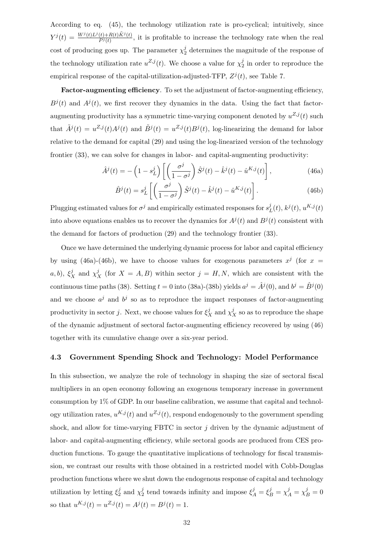According to eq. (45), the technology utilization rate is pro-cyclical; intuitively, since  $Y^{j}(t) = \frac{W^{j}(t)L^{j}(t) + R(t)\tilde{K}^{j}(t)}{P^{j}(t)}$  $\frac{(t)+R(t)R^{\gamma}(t)}{P^j(t)}$ , it is profitable to increase the technology rate when the real cost of producing goes up. The parameter  $\chi_2^j$  $\frac{1}{2}$  determines the magnitude of the response of the technology utilization rate  $u^{Z,j}(t)$ . We choose a value for  $\chi_2^j$  $\frac{J}{2}$  in order to reproduce the empirical response of the capital-utilization-adjusted-TFP,  $Z^{j}(t)$ , see Table 7.

Factor-augmenting efficiency. To set the adjustment of factor-augmenting efficiency,  $B^{j}(t)$  and  $A^{j}(t)$ , we first recover they dynamics in the data. Using the fact that factoraugmenting productivity has a symmetric time-varying component denoted by  $u^{Z,j}(t)$  such that  $\tilde{A}^j(t) = u^{Z,j}(t)A^j(t)$  and  $\tilde{B}^j(t) = u^{Z,j}(t)B^j(t)$ , log-linearizing the demand for labor relative to the demand for capital (29) and using the log-linearized version of the technology frontier (33), we can solve for changes in labor- and capital-augmenting productivity:

$$
\hat{A}^{j}(t) = -\left(1 - s_{L}^{j}\right) \left[ \left(\frac{\sigma^{j}}{1 - \sigma^{j}}\right) \hat{S}^{j}(t) - \hat{k}^{j}(t) - \hat{u}^{K,j}(t)\right],
$$
\n(46a)

$$
\hat{B}^{j}(t) = s_{L}^{j} \left[ \left( \frac{\sigma^{j}}{1 - \sigma^{j}} \right) \hat{S}^{j}(t) - \hat{k}^{j}(t) - \hat{u}^{K,j}(t) \right].
$$
\n(46b)

Plugging estimated values for  $\sigma^j$  and empirically estimated responses for  $s^j$  $_{L}^{j}(t),$   $k^{j}(t),$   $u^{K,j}(t)$ into above equations enables us to recover the dynamics for  $A^{j}(t)$  and  $B^{j}(t)$  consistent with the demand for factors of production (29) and the technology frontier (33).

Once we have determined the underlying dynamic process for labor and capital efficiency by using (46a)-(46b), we have to choose values for exogenous parameters  $x^j$  (for  $x =$ a, b),  $\xi_X^j$  and  $\chi_X^j$  (for  $X = A, B$ ) within sector  $j = H, N$ , which are consistent with the continuous time paths (38). Setting  $t = 0$  into (38a)-(38b) yields  $a^j = \hat{A}^j(0)$ , and  $b^j = \hat{B}^j(0)$ and we choose  $a^j$  and  $b^j$  so as to reproduce the impact responses of factor-augmenting productivity in sector j. Next, we choose values for  $\xi_X^j$  and  $\chi_X^j$  so as to reproduce the shape of the dynamic adjustment of sectoral factor-augmenting efficiency recovered by using (46) together with its cumulative change over a six-year period.

#### 4.3 Government Spending Shock and Technology: Model Performance

In this subsection, we analyze the role of technology in shaping the size of sectoral fiscal multipliers in an open economy following an exogenous temporary increase in government consumption by  $1\%$  of GDP. In our baseline calibration, we assume that capital and technology utilization rates,  $u^{K,j}(t)$  and  $u^{Z,j}(t)$ , respond endogenously to the government spending shock, and allow for time-varying FBTC in sector  $j$  driven by the dynamic adjustment of labor- and capital-augmenting efficiency, while sectoral goods are produced from CES production functions. To gauge the quantitative implications of technology for fiscal transmission, we contrast our results with those obtained in a restricted model with Cobb-Douglas production functions where we shut down the endogenous response of capital and technology utilization by letting  $\xi_2^j$  $_2^j$  and  $\chi_2^j$  $\zeta_A^j$  tend towards infinity and impose  $\xi_A^j = \xi_B^j = \chi_A^j = \chi_B^j = 0$ so that  $u^{K,j}(t) = u^{Z,j}(t) = A^j(t) = B^j(t) = 1$ .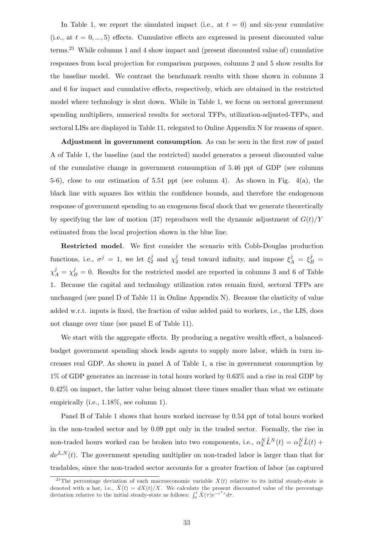In Table 1, we report the simulated impact (i.e., at  $t = 0$ ) and six-year cumulative (i.e., at  $t = 0, ..., 5$ ) effects. Cumulative effects are expressed in present discounted value terms.<sup>21</sup> While columns 1 and 4 show impact and (present discounted value of) cumulative responses from local projection for comparison purposes, columns 2 and 5 show results for the baseline model. We contrast the benchmark results with those shown in columns 3 and 6 for impact and cumulative effects, respectively, which are obtained in the restricted model where technology is shut down. While in Table 1, we focus on sectoral government spending multipliers, numerical results for sectoral TFPs, utilization-adjusted-TFPs, and sectoral LISs are displayed in Table 11, relegated to Online Appendix N for reasons of space.

Adjustment in government consumption. As can be seen in the first row of panel A of Table 1, the baseline (and the restricted) model generates a present discounted value of the cumulative change in government consumption of 5.46 ppt of GDP (see columns 5-6), close to our estimation of 5.51 ppt (see column 4). As shown in Fig. 4(a), the black line with squares lies within the confidence bounds, and therefore the endogenous response of government spending to an exogenous fiscal shock that we generate theoretically by specifying the law of motion (37) reproduces well the dynamic adjustment of  $G(t)/Y$ estimated from the local projection shown in the blue line.

Restricted model. We first consider the scenario with Cobb-Douglas production functions, i.e.,  $\sigma^j = 1$ , we let  $\xi_2^j$  $i_2^j$  and  $\chi_2^j$  $j_2^j$  tend toward infinity, and impose  $\xi_A^j = \xi_B^j =$  $\chi_A^j = \chi_B^j = 0$ . Results for the restricted model are reported in columns 3 and 6 of Table 1. Because the capital and technology utilization rates remain fixed, sectoral TFPs are unchanged (see panel D of Table 11 in Online Appendix N). Because the elasticity of value added w.r.t. inputs is fixed, the fraction of value added paid to workers, i.e., the LIS, does not change over time (see panel E of Table 11).

We start with the aggregate effects. By producing a negative wealth effect, a balancedbudget government spending shock leads agents to supply more labor, which in turn increases real GDP. As shown in panel A of Table 1, a rise in government consumption by 1% of GDP generates an increase in total hours worked by 0.63% and a rise in real GDP by 0.42% on impact, the latter value being almost three times smaller than what we estimate empirically (i.e., 1.18%, see column 1).

Panel B of Table 1 shows that hours worked increase by 0.54 ppt of total hours worked in the non-traded sector and by 0.09 ppt only in the traded sector. Formally, the rise in non-traded hours worked can be broken into two components, i.e.,  $\alpha_L^N \hat{L}^N(t) = \alpha_L^N \hat{L}(t)$  +  $d\nu^{L,N}(t)$ . The government spending multiplier on non-traded labor is larger than that for tradables, since the non-traded sector accounts for a greater fraction of labor (as captured

<sup>&</sup>lt;sup>21</sup>The percentage deviation of each macroeconomic variable  $X(t)$  relative to its initial steady-state is denoted with a hat, i.e.,  $\hat{X}(t) = dX(t)/X$ . We calculate the present discounted value of the percentage deviation relative to the initial steady-state as follows:  $\int_0^t \hat{X}(\tau) e^{-\tau^* \tau} d\tau$ .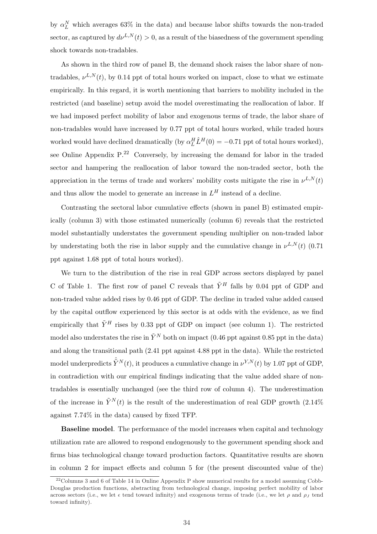by  $\alpha_L^N$  which averages 63% in the data) and because labor shifts towards the non-traded sector, as captured by  $d\nu^{L,N}(t) > 0$ , as a result of the biasedness of the government spending shock towards non-tradables.

As shown in the third row of panel B, the demand shock raises the labor share of nontradables,  $\nu^{L,N}(t)$ , by 0.14 ppt of total hours worked on impact, close to what we estimate empirically. In this regard, it is worth mentioning that barriers to mobility included in the restricted (and baseline) setup avoid the model overestimating the reallocation of labor. If we had imposed perfect mobility of labor and exogenous terms of trade, the labor share of non-tradables would have increased by 0.77 ppt of total hours worked, while traded hours worked would have declined dramatically (by  $\alpha_L^H \hat{L}^H(0) = -0.71$  ppt of total hours worked), see Online Appendix  $P^{22}$  Conversely, by increasing the demand for labor in the traded sector and hampering the reallocation of labor toward the non-traded sector, both the appreciation in the terms of trade and workers' mobility costs mitigate the rise in  $\nu^{L,N}(t)$ and thus allow the model to generate an increase in  $L^H$  instead of a decline.

Contrasting the sectoral labor cumulative effects (shown in panel B) estimated empirically (column 3) with those estimated numerically (column 6) reveals that the restricted model substantially understates the government spending multiplier on non-traded labor by understating both the rise in labor supply and the cumulative change in  $\nu^{L,N}(t)$  (0.71) ppt against 1.68 ppt of total hours worked).

We turn to the distribution of the rise in real GDP across sectors displayed by panel C of Table 1. The first row of panel C reveals that  $\tilde{Y}^H$  falls by 0.04 ppt of GDP and non-traded value added rises by 0.46 ppt of GDP. The decline in traded value added caused by the capital outflow experienced by this sector is at odds with the evidence, as we find empirically that  $\tilde{Y}^H$  rises by 0.33 ppt of GDP on impact (see column 1). The restricted model also understates the rise in  $\tilde{Y}^{N}$  both on impact (0.46 ppt against 0.85 ppt in the data) and along the transitional path (2.41 ppt against 4.88 ppt in the data). While the restricted model underpredicts  $\hat{\tilde{Y}}^{N}(t)$ , it produces a cumulative change in  $\nu^{Y,N}(t)$  by 1.07 ppt of GDP, in contradiction with our empirical findings indicating that the value added share of nontradables is essentially unchanged (see the third row of column 4). The underestimation of the increase in  $\tilde{Y}^{N}(t)$  is the result of the underestimation of real GDP growth (2.14%) against 7.74% in the data) caused by fixed TFP.

Baseline model. The performance of the model increases when capital and technology utilization rate are allowed to respond endogenously to the government spending shock and firms bias technological change toward production factors. Quantitative results are shown in column 2 for impact effects and column 5 for (the present discounted value of the)

 $22$ Columns 3 and 6 of Table 14 in Online Appendix P show numerical results for a model assuming Cobb-Douglas production functions, abstracting from technological change, imposing perfect mobility of labor across sectors (i.e., we let  $\epsilon$  tend toward infinity) and exogenous terms of trade (i.e., we let  $\rho$  and  $\rho_J$  tend toward infinity).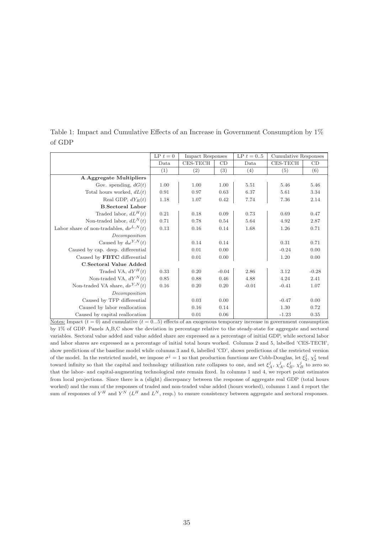| CES-TECH<br>CES-TECH<br>CD<br>CD<br>Data<br>Data<br>(3)<br>$\left( 2\right)$<br>(5)<br>(6)<br>(1)<br>(4) |  |
|----------------------------------------------------------------------------------------------------------|--|
|                                                                                                          |  |
|                                                                                                          |  |
| A.Aggregate Multipliers                                                                                  |  |
| Gov. spending, $dG(t)$<br>1.00<br>1.00<br>5.51<br>1.00<br>5.46<br>5.46                                   |  |
| Total hours worked, $dL(t)$<br>0.63<br>6.37<br>5.61<br>0.91<br>0.97<br>3.34                              |  |
| Real GDP, $dY_R(t)$<br>7.74<br>7.36<br>1.18<br>1.07<br>0.42<br>2.14                                      |  |
| <b>B.Sectoral Labor</b>                                                                                  |  |
| Traded labor, $dL^H(t)$<br>0.21<br>0.09<br>0.73<br>0.47<br>0.18<br>0.69                                  |  |
| Non-traded labor, $dL^N(t)$<br>5.64<br>0.71<br>0.78<br>0.54<br>4.92<br>2.87                              |  |
| Labor share of non-tradables, $d\nu^{L,N}(t)$<br>0.13<br>0.16<br>0.14<br>1.68<br>1.26<br>0.71            |  |
| Decomposition                                                                                            |  |
| Caused by $d\omega^{Y,N}(t)$<br>0.31<br>0.14<br>0.71<br>0.14                                             |  |
| Caused by cap. deep. differential<br>0.00<br>$-0.24$<br>0.01<br>0.00                                     |  |
| Caused by FBTC differential<br>0.01<br>0.00<br>1.20<br>0.00                                              |  |
| C.Sectoral Value Added                                                                                   |  |
| Traded VA, $dY^H(t)$<br>0.20<br>$-0.04$<br>2.86<br>$-0.28$<br>0.33<br>3.12                               |  |
| Non-traded VA, $dY^N(t)$<br>4.88<br>0.85<br>0.88<br>0.46<br>4.24<br>2.41                                 |  |
| Non-traded VA share, $d\nu^{Y,N}(t)$<br>0.16<br>$-0.01$<br>0.20<br>0.20<br>$-0.41$<br>1.07               |  |
| Decomposition                                                                                            |  |
| Caused by TFP differential<br>0.03<br>$-0.47$<br>0.00<br>0.00                                            |  |
| Caused by labor reallocation<br>0.16<br>1.30<br>0.14<br>0.72                                             |  |
| Caused by capital reallocation<br>0.01<br>0.06<br>$-1.23$<br>0.35                                        |  |

Table 1: Impact and Cumulative Effects of an Increase in Government Consumption by 1% of GDP

Notes: Impact  $(t = 0)$  and cumulative  $(t = 0...5)$  effects of an exogenous temporary increase in government consumption by 1% of GDP. Panels A,B,C show the deviation in percentage relative to the steady-state for aggregate and sectoral variables. Sectoral value added and value added share are expressed as a percentage of initial GDP, while sectoral labor and labor shares are expressed as a percentage of initial total hours worked. Columns 2 and 5, labelled 'CES-TECH', show predictions of the baseline model while columns 3 and 6, labelled 'CD', shows predictions of the restricted version of the model. In the restricted model, we impose  $\sigma^j = 1$  so that production functions are Cobb-Douglas, let  $\xi_2^j$ ,  $\chi_2^j$  tend toward infinity so that the capital and technology utilization rate collapses to one, and set  $\xi_A^j$ ,  $\chi_A^j$ ,  $\xi_B^j$ ,  $\chi_B^j$  to zero so that the labor- and capital-augmenting technological rate remain fixed. In columns 1 and 4, we report point estimates from local projections. Since there is a (slight) discrepancy between the response of aggregate real GDP (total hours worked) and the sum of the responses of traded and non-traded value added (hours worked), columns 1 and 4 report the sum of responses of  $Y^H$  and  $Y^N$  ( $L^H$  and  $L^N$ , resp.) to ensure consistency between aggregate and sectoral responses.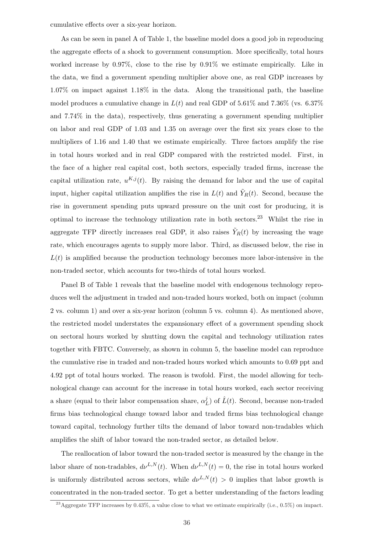cumulative effects over a six-year horizon.

As can be seen in panel A of Table 1, the baseline model does a good job in reproducing the aggregate effects of a shock to government consumption. More specifically, total hours worked increase by 0.97%, close to the rise by 0.91% we estimate empirically. Like in the data, we find a government spending multiplier above one, as real GDP increases by 1.07% on impact against 1.18% in the data. Along the transitional path, the baseline model produces a cumulative change in  $L(t)$  and real GDP of 5.61% and 7.36% (vs. 6.37%) and 7.74% in the data), respectively, thus generating a government spending multiplier on labor and real GDP of 1.03 and 1.35 on average over the first six years close to the multipliers of 1.16 and 1.40 that we estimate empirically. Three factors amplify the rise in total hours worked and in real GDP compared with the restricted model. First, in the face of a higher real capital cost, both sectors, especially traded firms, increase the capital utilization rate,  $u^{K,j}(t)$ . By raising the demand for labor and the use of capital input, higher capital utilization amplifies the rise in  $L(t)$  and  $\tilde{Y}_R(t)$ . Second, because the rise in government spending puts upward pressure on the unit cost for producing, it is optimal to increase the technology utilization rate in both sectors.<sup>23</sup> Whilst the rise in aggregate TFP directly increases real GDP, it also raises  $\tilde{Y}_R(t)$  by increasing the wage rate, which encourages agents to supply more labor. Third, as discussed below, the rise in  $L(t)$  is amplified because the production technology becomes more labor-intensive in the non-traded sector, which accounts for two-thirds of total hours worked.

Panel B of Table 1 reveals that the baseline model with endogenous technology reproduces well the adjustment in traded and non-traded hours worked, both on impact (column 2 vs. column 1) and over a six-year horizon (column 5 vs. column 4). As mentioned above, the restricted model understates the expansionary effect of a government spending shock on sectoral hours worked by shutting down the capital and technology utilization rates together with FBTC. Conversely, as shown in column 5, the baseline model can reproduce the cumulative rise in traded and non-traded hours worked which amounts to 0.69 ppt and 4.92 ppt of total hours worked. The reason is twofold. First, the model allowing for technological change can account for the increase in total hours worked, each sector receiving a share (equal to their labor compensation share,  $\alpha_l^j$  $(L)$  of  $\hat{L}(t)$ . Second, because non-traded firms bias technological change toward labor and traded firms bias technological change toward capital, technology further tilts the demand of labor toward non-tradables which amplifies the shift of labor toward the non-traded sector, as detailed below.

The reallocation of labor toward the non-traded sector is measured by the change in the labor share of non-tradables,  $d\nu^{L,N}(t)$ . When  $d\nu^{L,N}(t) = 0$ , the rise in total hours worked is uniformly distributed across sectors, while  $d\nu^{L,N}(t) > 0$  implies that labor growth is concentrated in the non-traded sector. To get a better understanding of the factors leading

<sup>&</sup>lt;sup>23</sup>Aggregate TFP increases by 0.43%, a value close to what we estimate empirically (i.e., 0.5%) on impact.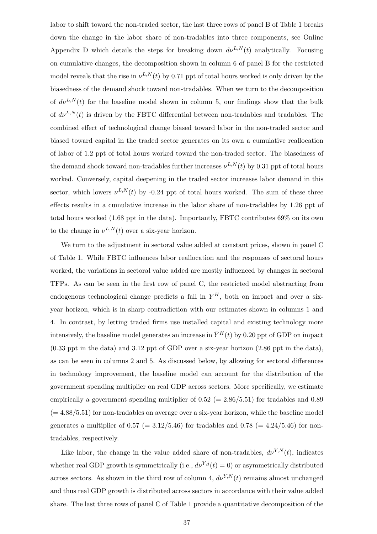labor to shift toward the non-traded sector, the last three rows of panel B of Table 1 breaks down the change in the labor share of non-tradables into three components, see Online Appendix D which details the steps for breaking down  $d\nu^{L,N}(t)$  analytically. Focusing on cumulative changes, the decomposition shown in column 6 of panel B for the restricted model reveals that the rise in  $\nu^{L,N}(t)$  by 0.71 ppt of total hours worked is only driven by the biasedness of the demand shock toward non-tradables. When we turn to the decomposition of  $d\nu^{L,N}(t)$  for the baseline model shown in column 5, our findings show that the bulk of  $d\nu^{L,N}(t)$  is driven by the FBTC differential between non-tradables and tradables. The combined effect of technological change biased toward labor in the non-traded sector and biased toward capital in the traded sector generates on its own a cumulative reallocation of labor of 1.2 ppt of total hours worked toward the non-traded sector. The biasedness of the demand shock toward non-tradables further increases  $\nu^{L,N}(t)$  by 0.31 ppt of total hours worked. Conversely, capital deepening in the traded sector increases labor demand in this sector, which lowers  $\nu^{L,N}(t)$  by -0.24 ppt of total hours worked. The sum of these three effects results in a cumulative increase in the labor share of non-tradables by 1.26 ppt of total hours worked (1.68 ppt in the data). Importantly, FBTC contributes 69% on its own to the change in  $\nu^{L,N}(t)$  over a six-year horizon.

We turn to the adjustment in sectoral value added at constant prices, shown in panel C of Table 1. While FBTC influences labor reallocation and the responses of sectoral hours worked, the variations in sectoral value added are mostly influenced by changes in sectoral TFPs. As can be seen in the first row of panel C, the restricted model abstracting from endogenous technological change predicts a fall in  $Y^H$ , both on impact and over a sixyear horizon, which is in sharp contradiction with our estimates shown in columns 1 and 4. In contrast, by letting traded firms use installed capital and existing technology more intensively, the baseline model generates an increase in  $\tilde{Y}^{H}(t)$  by 0.20 ppt of GDP on impact (0.33 ppt in the data) and 3.12 ppt of GDP over a six-year horizon (2.86 ppt in the data), as can be seen in columns 2 and 5. As discussed below, by allowing for sectoral differences in technology improvement, the baseline model can account for the distribution of the government spending multiplier on real GDP across sectors. More specifically, we estimate empirically a government spending multiplier of  $0.52$  (= 2.86/5.51) for tradables and 0.89  $(=4.88/5.51)$  for non-tradables on average over a six-year horizon, while the baseline model generates a multiplier of  $0.57$  (= 3.12/5.46) for tradables and  $0.78$  (= 4.24/5.46) for nontradables, respectively.

Like labor, the change in the value added share of non-tradables,  $d\nu^{Y,N}(t)$ , indicates whether real GDP growth is symmetrically (i.e.,  $d\nu^{Y,j}(t) = 0$ ) or asymmetrically distributed across sectors. As shown in the third row of column 4,  $d\nu^{Y,N}(t)$  remains almost unchanged and thus real GDP growth is distributed across sectors in accordance with their value added share. The last three rows of panel C of Table 1 provide a quantitative decomposition of the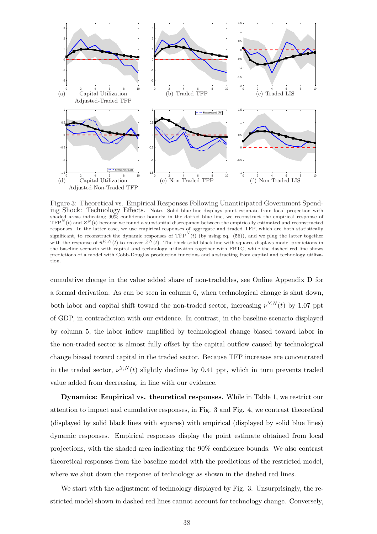

Figure 3: Theoretical vs. Empirical Responses Following Unanticipated Government Spending Shock: Technology Effects. Notes: Solid blue line displays point estimate from local projection with shaded areas indicating 90% confidence bounds; in the dotted blue line, we reconstruct the empirical response of  $TFP<sup>N</sup>(t)$  and  $Z<sup>N</sup>(t)$  because we found a substantial discrepancy between the empirically estimated and reconstructed responses. In the latter case, we use empirical responses of aggregate and traded TFP, which are both statistically significant, to reconstruct the dynamic responses of  $\hat{TFP}^N(t)$  (by using eq. (56)), and we plug the latter together with the response of  $\hat{u}^{K,N}(t)$  to recover  $\hat{Z}^{N}(t)$ . The thick solid black line with squares displays model predictions in the baseline scenario with capital and technology utilization together with FBTC, while the dashed red line shows predictions of a model with Cobb-Douglas production functions and abstracting from capital and technology utilization.

cumulative change in the value added share of non-tradables, see Online Appendix D for a formal derivation. As can be seen in column 6, when technological change is shut down, both labor and capital shift toward the non-traded sector, increasing  $\nu^{Y,N}(t)$  by 1.07 ppt of GDP, in contradiction with our evidence. In contrast, in the baseline scenario displayed by column 5, the labor inflow amplified by technological change biased toward labor in the non-traded sector is almost fully offset by the capital outflow caused by technological change biased toward capital in the traded sector. Because TFP increases are concentrated in the traded sector,  $\nu^{Y,N}(t)$  slightly declines by 0.41 ppt, which in turn prevents traded value added from decreasing, in line with our evidence.

Dynamics: Empirical vs. theoretical responses. While in Table 1, we restrict our attention to impact and cumulative responses, in Fig. 3 and Fig. 4, we contrast theoretical (displayed by solid black lines with squares) with empirical (displayed by solid blue lines) dynamic responses. Empirical responses display the point estimate obtained from local projections, with the shaded area indicating the 90% confidence bounds. We also contrast theoretical responses from the baseline model with the predictions of the restricted model, where we shut down the response of technology as shown in the dashed red lines.

We start with the adjustment of technology displayed by Fig. 3. Unsurprisingly, the restricted model shown in dashed red lines cannot account for technology change. Conversely,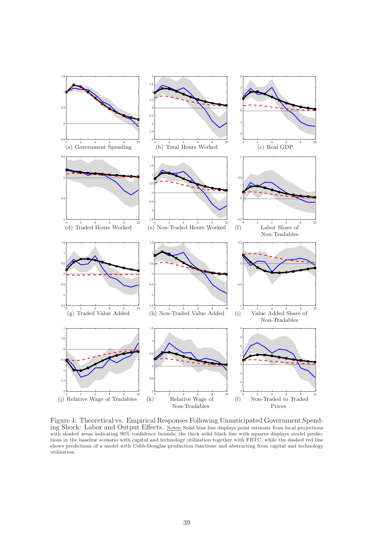

Figure 4: Theoretical vs. Empirical Responses Following Unanticipated Government Spending Shock: Labor and Output Effects. Notes: Solid blue line displays point estimate from local projections with shaded areas indicating  $90\%$  confidence bounds; the thick solid black line with squares displays model predictions in the baseline scenario with capital and technology utilization together with FBTC, while the dashed red line shows predictions of a model with Cobb-Douglas production functions and abstracting from capital and technology utilization.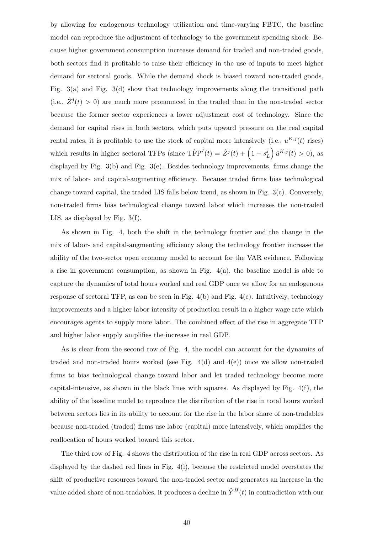by allowing for endogenous technology utilization and time-varying FBTC, the baseline model can reproduce the adjustment of technology to the government spending shock. Because higher government consumption increases demand for traded and non-traded goods, both sectors find it profitable to raise their efficiency in the use of inputs to meet higher demand for sectoral goods. While the demand shock is biased toward non-traded goods, Fig. 3(a) and Fig. 3(d) show that technology improvements along the transitional path (i.e.,  $\hat{Z}^{j}(t) > 0$ ) are much more pronounced in the traded than in the non-traded sector because the former sector experiences a lower adjustment cost of technology. Since the demand for capital rises in both sectors, which puts upward pressure on the real capital rental rates, it is profitable to use the stock of capital more intensively (i.e.,  $u^{K,j}(t)$  rises) which results in higher sectoral TFPs (since  $\text{Tr}\text{P}^j(t) = \hat{Z}^j(t) + \left(1 - s_j^j\right)$ L ´  $\hat{u}^{K,j}(t) > 0$ , as displayed by Fig. 3(b) and Fig. 3(e). Besides technology improvements, firms change the mix of labor- and capital-augmenting efficiency. Because traded firms bias technological change toward capital, the traded LIS falls below trend, as shown in Fig. 3(c). Conversely, non-traded firms bias technological change toward labor which increases the non-traded LIS, as displayed by Fig. 3(f).

As shown in Fig. 4, both the shift in the technology frontier and the change in the mix of labor- and capital-augmenting efficiency along the technology frontier increase the ability of the two-sector open economy model to account for the VAR evidence. Following a rise in government consumption, as shown in Fig.  $4(a)$ , the baseline model is able to capture the dynamics of total hours worked and real GDP once we allow for an endogenous response of sectoral TFP, as can be seen in Fig.  $4(b)$  and Fig.  $4(c)$ . Intuitively, technology improvements and a higher labor intensity of production result in a higher wage rate which encourages agents to supply more labor. The combined effect of the rise in aggregate TFP and higher labor supply amplifies the increase in real GDP.

As is clear from the second row of Fig. 4, the model can account for the dynamics of traded and non-traded hours worked (see Fig.  $4(d)$  and  $4(e)$ ) once we allow non-traded firms to bias technological change toward labor and let traded technology become more capital-intensive, as shown in the black lines with squares. As displayed by Fig.  $4(f)$ , the ability of the baseline model to reproduce the distribution of the rise in total hours worked between sectors lies in its ability to account for the rise in the labor share of non-tradables because non-traded (traded) firms use labor (capital) more intensively, which amplifies the reallocation of hours worked toward this sector.

The third row of Fig. 4 shows the distribution of the rise in real GDP across sectors. As displayed by the dashed red lines in Fig. 4(i), because the restricted model overstates the shift of productive resources toward the non-traded sector and generates an increase in the value added share of non-tradables, it produces a decline in  $\tilde{Y}^H(t)$  in contradiction with our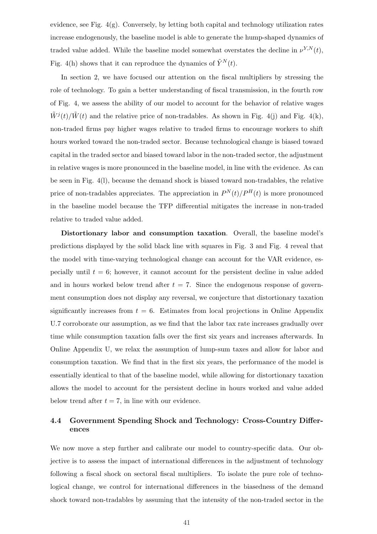evidence, see Fig.  $4(g)$ . Conversely, by letting both capital and technology utilization rates increase endogenously, the baseline model is able to generate the hump-shaped dynamics of traded value added. While the baseline model somewhat overstates the decline in  $\nu^{Y,N}(t)$ , Fig. 4(h) shows that it can reproduce the dynamics of  $\tilde{Y}^{N}(t)$ .

In section 2, we have focused our attention on the fiscal multipliers by stressing the role of technology. To gain a better understanding of fiscal transmission, in the fourth row of Fig. 4, we assess the ability of our model to account for the behavior of relative wages  $\tilde{W}^{j}(t)/\tilde{W}(t)$  and the relative price of non-tradables. As shown in Fig. 4(j) and Fig. 4(k), non-traded firms pay higher wages relative to traded firms to encourage workers to shift hours worked toward the non-traded sector. Because technological change is biased toward capital in the traded sector and biased toward labor in the non-traded sector, the adjustment in relative wages is more pronounced in the baseline model, in line with the evidence. As can be seen in Fig. 4(l), because the demand shock is biased toward non-tradables, the relative price of non-tradables appreciates. The appreciation in  $P^{N}(t)/P^{H}(t)$  is more pronounced in the baseline model because the TFP differential mitigates the increase in non-traded relative to traded value added.

Distortionary labor and consumption taxation. Overall, the baseline model's predictions displayed by the solid black line with squares in Fig. 3 and Fig. 4 reveal that the model with time-varying technological change can account for the VAR evidence, especially until  $t = 6$ ; however, it cannot account for the persistent decline in value added and in hours worked below trend after  $t = 7$ . Since the endogenous response of government consumption does not display any reversal, we conjecture that distortionary taxation significantly increases from  $t = 6$ . Estimates from local projections in Online Appendix U.7 corroborate our assumption, as we find that the labor tax rate increases gradually over time while consumption taxation falls over the first six years and increases afterwards. In Online Appendix U, we relax the assumption of lump-sum taxes and allow for labor and consumption taxation. We find that in the first six years, the performance of the model is essentially identical to that of the baseline model, while allowing for distortionary taxation allows the model to account for the persistent decline in hours worked and value added below trend after  $t = 7$ , in line with our evidence.

## 4.4 Government Spending Shock and Technology: Cross-Country Differences

We now move a step further and calibrate our model to country-specific data. Our objective is to assess the impact of international differences in the adjustment of technology following a fiscal shock on sectoral fiscal multipliers. To isolate the pure role of technological change, we control for international differences in the biasedness of the demand shock toward non-tradables by assuming that the intensity of the non-traded sector in the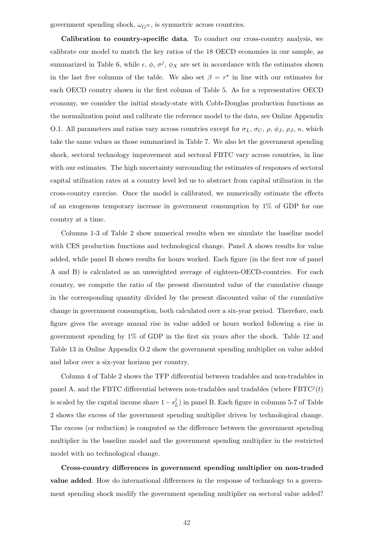government spending shock,  $\omega_{G^N}$ , is symmetric across countries.

Calibration to country-specific data. To conduct our cross-country analysis, we calibrate our model to match the key ratios of the 18 OECD economies in our sample, as summarized in Table 6, while  $\epsilon, \phi, \sigma^j, \phi_X$  are set in accordance with the estimates shown in the last five columns of the table. We also set  $\beta = r^*$  in line with our estimates for each OECD country shown in the first column of Table 5. As for a representative OECD economy, we consider the initial steady-state with Cobb-Douglas production functions as the normalization point and calibrate the reference model to the data, see Online Appendix O.1. All parameters and ratios vary across countries except for  $\sigma_L$ ,  $\sigma_C$ ,  $\rho$ ,  $\phi_J$ ,  $\rho_J$ ,  $\kappa$ , which take the same values as those summarized in Table 7. We also let the government spending shock, sectoral technology improvement and sectoral FBTC vary across countries, in line with our estimates. The high uncertainty surrounding the estimates of responses of sectoral capital utilization rates at a country level led us to abstract from capital utilization in the cross-country exercise. Once the model is calibrated, we numerically estimate the effects of an exogenous temporary increase in government consumption by 1% of GDP for one country at a time.

Columns 1-3 of Table 2 show numerical results when we simulate the baseline model with CES production functions and technological change. Panel A shows results for value added, while panel B shows results for hours worked. Each figure (in the first row of panel A and B) is calculated as an unweighted average of eighteen-OECD-countries. For each country, we compute the ratio of the present discounted value of the cumulative change in the corresponding quantity divided by the present discounted value of the cumulative change in government consumption, both calculated over a six-year period. Therefore, each figure gives the average annual rise in value added or hours worked following a rise in government spending by 1% of GDP in the first six years after the shock. Table 12 and Table 13 in Online Appendix O.2 show the government spending multiplier on value added and labor over a six-year horizon per country.

Column 4 of Table 2 shows the TFP differential between tradables and non-tradables in panel A, and the FBTC differential between non-tradables and tradables (where  $FBTC<sup>j</sup>(t)$ is scaled by the capital income share  $1-s_I^j$  $L<sup>j</sup>$ ) in panel B. Each figure in columns 5-7 of Table 2 shows the excess of the government spending multiplier driven by technological change. The excess (or reduction) is computed as the difference between the government spending multiplier in the baseline model and the government spending multiplier in the restricted model with no technological change.

Cross-country differences in government spending multiplier on non-traded value added. How do international differences in the response of technology to a government spending shock modify the government spending multiplier on sectoral value added?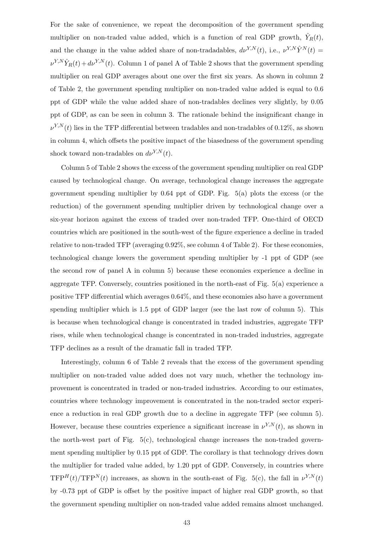For the sake of convenience, we repeat the decomposition of the government spending multiplier on non-traded value added, which is a function of real GDP growth,  $\hat{Y}_R(t)$ , and the change in the value added share of non-tradadables,  $d\nu^{Y,N}(t)$ , i.e.,  $\nu^{Y,N} \hat{Y}^N(t) =$  $\nu^{Y,N} \hat{Y}_R(t) + d\nu^{Y,N}(t)$ . Column 1 of panel A of Table 2 shows that the government spending multiplier on real GDP averages about one over the first six years. As shown in column 2 of Table 2, the government spending multiplier on non-traded value added is equal to 0.6 ppt of GDP while the value added share of non-tradables declines very slightly, by 0.05 ppt of GDP, as can be seen in column 3. The rationale behind the insignificant change in  $\nu^{Y,N}(t)$  lies in the TFP differential between tradables and non-tradables of 0.12%, as shown in column 4, which offsets the positive impact of the biasedness of the government spending shock toward non-tradables on  $d\nu^{Y,N}(t)$ .

Column 5 of Table 2 shows the excess of the government spending multiplier on real GDP caused by technological change. On average, technological change increases the aggregate government spending multiplier by 0.64 ppt of GDP. Fig. 5(a) plots the excess (or the reduction) of the government spending multiplier driven by technological change over a six-year horizon against the excess of traded over non-traded TFP. One-third of OECD countries which are positioned in the south-west of the figure experience a decline in traded relative to non-traded TFP (averaging 0.92%, see column 4 of Table 2). For these economies, technological change lowers the government spending multiplier by -1 ppt of GDP (see the second row of panel A in column 5) because these economies experience a decline in aggregate TFP. Conversely, countries positioned in the north-east of Fig. 5(a) experience a positive TFP differential which averages 0.64%, and these economies also have a government spending multiplier which is 1.5 ppt of GDP larger (see the last row of column 5). This is because when technological change is concentrated in traded industries, aggregate TFP rises, while when technological change is concentrated in non-traded industries, aggregate TFP declines as a result of the dramatic fall in traded TFP.

Interestingly, column 6 of Table 2 reveals that the excess of the government spending multiplier on non-traded value added does not vary much, whether the technology improvement is concentrated in traded or non-traded industries. According to our estimates, countries where technology improvement is concentrated in the non-traded sector experience a reduction in real GDP growth due to a decline in aggregate TFP (see column 5). However, because these countries experience a significant increase in  $\nu^{Y,N}(t)$ , as shown in the north-west part of Fig.  $5(c)$ , technological change increases the non-traded government spending multiplier by 0.15 ppt of GDP. The corollary is that technology drives down the multiplier for traded value added, by 1.20 ppt of GDP. Conversely, in countries where  $TFP<sup>H</sup>(t)/TFP<sup>N</sup>(t)$  increases, as shown in the south-east of Fig. 5(c), the fall in  $\nu^{Y,N}(t)$ by -0.73 ppt of GDP is offset by the positive impact of higher real GDP growth, so that the government spending multiplier on non-traded value added remains almost unchanged.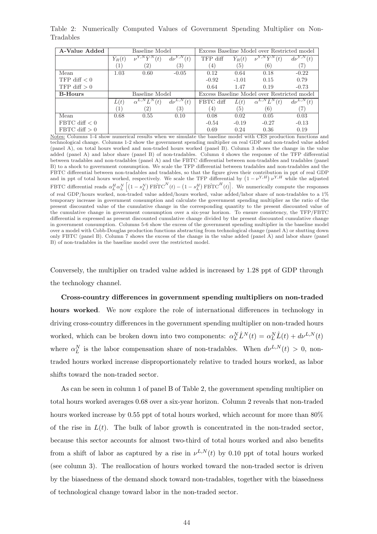| A-Value Added   | Baseline Model   |                                     |                                   | Excess Baseline Model over Restricted model |                 |                                               |                 |
|-----------------|------------------|-------------------------------------|-----------------------------------|---------------------------------------------|-----------------|-----------------------------------------------|-----------------|
|                 | $\hat{Y}_R(t)$   | $\overline{\nu^{Y,N} \hat{Y}^N(t)}$ | $d\nu^{Y,N}$<br>(t`               | TFP diff                                    | $\ddot{Y}_R(t)$ | $\nu^{Y,N} \hat{Y}^N$<br>(t)                  | $d\nu^{Y,N}(t)$ |
|                 | $\left(1\right)$ | $\left( 2\right)$                   | 3)                                | (4)                                         | (5)             | (6)                                           | 7               |
| Mean            | 1.03             | 0.60                                | $-0.05$                           | 0.12                                        | 0.64            | 0.18                                          | $-0.22$         |
| TFP diff $< 0$  |                  |                                     |                                   | $-0.92$                                     | $-1.01$         | 0.15                                          | 0.79            |
| TFP diff $> 0$  |                  |                                     |                                   | 0.64                                        | 1.47            | 0.19                                          | $-0.73$         |
| <b>B-Hours</b>  | Baseline Model   |                                     |                                   | Excess Baseline Model over Restricted model |                 |                                               |                 |
|                 | L(t)             | $\alpha^{L,N} L^N$<br>(t)           | $d\nu^{L,N}$<br>$\scriptstyle(t)$ | FBTC diff                                   | L(t)            | $\alpha^{L,N} \hat{L}^N$<br>$\left( t\right)$ | $d\nu^{L,N}(t)$ |
|                 | $\left(1\right)$ | $^{(2)}$                            | 3)                                | $\left(4\right)$                            | (5)             | (6)                                           | 7               |
| Mean            | 0.68             | 0.55                                | 0.10                              | 0.08                                        | 0.02            | 0.05                                          | 0.03            |
| FBTC diff $< 0$ |                  |                                     |                                   | $-0.54$                                     | $-0.19$         | $-0.27$                                       | $-0.13$         |
| FBTC diff $> 0$ |                  |                                     |                                   | 0.69                                        | 0.24            | 0.36                                          | 0.19            |

Table 2: Numerically Computed Values of Government Spending Multiplier on Non-Tradables

Notes: Columns 1-4 show numerical results when we simulate the baseline model with CES production functions and technological change. Columns 1-2 show the government spending multiplier on real GDP and non-traded value added (panel A), on total hours worked and non-traded hours worked (panel B). Column 3 shows the change in the value added (panel A) and labor share (panel B) of non-tradables. Column 4 shows the response of the TFP differential between tradables and non-tradables (panel A) and the FBTC differential between non-tradables and tradables (panel B) to a shock to government consumption. We scale the TFP differential between tradables and non-tradables and the FBTC differential between non-tradables and tradables, so that the figure gives their contribution in ppt of real GDP FBTC differential between non-tradables and tradables, so that the figure gives their contribution in ppt of real GDP<br>and in ppt of total hours worked, respectively. We scale the TFP differential by  $(1 - \nu^{Y,H}) \nu^{Y,H}$  whil FBTC differential reads  $\alpha_L^H \alpha_L^N$  $\int (1 - s_L^N)$  $\big)$  FBTC<sup>N</sup>(t) –  $\big(1-s_L^H\big)$  $\widehat{\mathrm{FBTC}}^H(t)$ ic<br>ד . We numerically compute the responses of real GDP/hours worked, non-traded value added/hours worked, value added/labor share of non-tradables to a 1% temporary increase in government consumption and calculate the government spending multiplier as the ratio of the present discounted value of the cumulative change in the corresponding quantity to the present discounted value of the cumulative change in government consumption over a six-year horizon. To ensure consistency, the TFP/FBTC differential is expressed as present discounted cumulative change divided by the present discounted cumulative change in government consumption. Columns 5-6 show the excess of the government spending multiplier in the baseline model over a model with Cobb-Douglas production functions abstracting from technological change (panel A) or shutting down only FBTC (panel B). Column 7 shows the excess of the change in the value added (panel A) and labor share (panel B) of non-tradables in the baseline model over the restricted model.

Conversely, the multiplier on traded value added is increased by 1.28 ppt of GDP through the technology channel.

Cross-country differences in government spending multipliers on non-traded hours worked. We now explore the role of international differences in technology in driving cross-country differences in the government spending multiplier on non-traded hours worked, which can be broken down into two components:  $\alpha_L^N \hat{L}^N(t) = \alpha_L^N \hat{L}(t) + d\nu^{L,N}(t)$ where  $\alpha_L^N$  is the labor compensation share of non-tradables. When  $d\nu^{L,N}(t) > 0$ , nontraded hours worked increase disproportionately relative to traded hours worked, as labor shifts toward the non-traded sector.

As can be seen in column 1 of panel B of Table 2, the government spending multiplier on total hours worked averages 0.68 over a six-year horizon. Column 2 reveals that non-traded hours worked increase by 0.55 ppt of total hours worked, which account for more than  $80\%$ of the rise in  $L(t)$ . The bulk of labor growth is concentrated in the non-traded sector, because this sector accounts for almost two-third of total hours worked and also benefits from a shift of labor as captured by a rise in  $\nu^{L,N}(t)$  by 0.10 ppt of total hours worked (see column 3). The reallocation of hours worked toward the non-traded sector is driven by the biasedness of the demand shock toward non-tradables, together with the biasedness of technological change toward labor in the non-traded sector.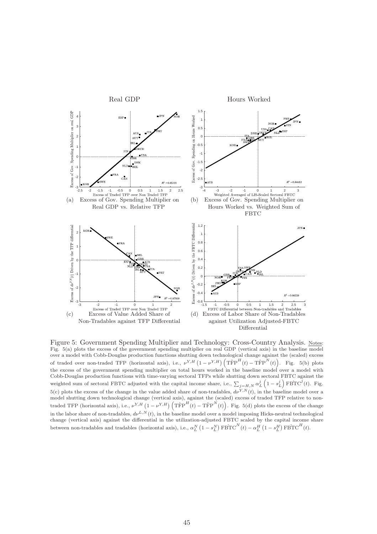

Figure 5: Government Spending Multiplier and Technology: Cross-Country Analysis. Notes: Fig. 5(a) plots the excess of the government spending multiplier on real GDP (vertical axis) in the baseline model over a model with Cobb-Douglas production functions shutting down technological change against the (scaled) excess over a model with Cobb-Douglas production functions shutting down technological change agains<br>of traded over non-traded TFP (horizontal axis), i.e.,  $\nu^{Y,H} (1 - \nu^{Y,H}) (\text{TrP}^H(t) - \text{TrP}^N(t)$ it<br>` . Fig. 5(b) plots the excess of the government spending multiplier on total hours worked in the baseline model over a model with Cobb-Douglas production functions with time-varying sectoral TFPs while shutting down sectoral FBTC against the ³ ´ weighted sum of sectoral FBTC adjusted with the capital income share, i.e.,  $\sum_{j=H,N} \alpha_L^j \left(1 - s_L^j\right) \text{FBTC}^j(t)$ . Fig. 5(c) plots the excess of the change in the value added share of non-tradables,  $d\nu^{Y,N}(t)$ , in the baseline model over a model shutting down technological change (vertical axis), against the (scaled) excess of traded TFP relative to nonmodel shutting down technological change (vertical axis), against the (scannocle traded TFP (horizontal axis), i.e.,  $\nu^{Y,H} (1 - \nu^{Y,H}) (\text{TrP}^{H}(t) - \text{TrP}^{N}(t))$ ′.<br>′ . Fig. 5(d) plots the excess of the change in the labor share of non-tradables,  $d\nu^{L,N}(t)$ , in the baseline model over a model imposing Hicks-neutral technological change (vertical axis) against the differential in the utilization-adjusted FBTC scaled by the capital income share between non-tradables and tradables (horizontal axis), i.e.,  $\alpha_L^N$  $(1-s_L^N)$  $\sum_{i=1}^{N} \text{FBTC}^{N}(t) - \alpha_L^H$  $(1-s_L^H)$  $\widehat{\text{FBTC}^H(t)}$ .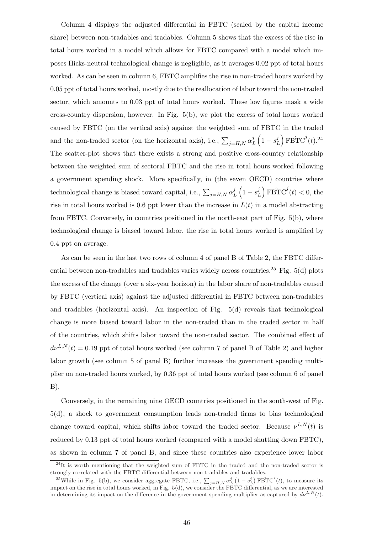Column 4 displays the adjusted differential in FBTC (scaled by the capital income share) between non-tradables and tradables. Column 5 shows that the excess of the rise in total hours worked in a model which allows for FBTC compared with a model which imposes Hicks-neutral technological change is negligible, as it averages 0.02 ppt of total hours worked. As can be seen in column 6, FBTC amplifies the rise in non-traded hours worked by 0.05 ppt of total hours worked, mostly due to the reallocation of labor toward the non-traded sector, which amounts to 0.03 ppt of total hours worked. These low figures mask a wide cross-country dispersion, however. In Fig. 5(b), we plot the excess of total hours worked caused by FBTC (on the vertical axis) against the weighted sum of FBTC in the traded and the non-traded sector (on the horizontal axis), i.e.,  $\sum_{j=H,N} \alpha_l^j$ L  $\ddot{\phantom{0}}$  $1-s_I^j$ L ´  $\widehat{\mathrm{FBTC}}^{j}(t).^{24}$ The scatter-plot shows that there exists a strong and positive cross-country relationship between the weighted sum of sectoral FBTC and the rise in total hours worked following a government spending shock. More specifically, in (the seven OECD) countries where technological change is biased toward capital, i.e.,  $\sum_{j=H,N} \alpha_l^j$  $\frac{j}{L}\left(1-s_{I}^{j}\right)$  $\frac{1}{2}$  $\left(\frac{d}{dt}\right)$  FBTC<sup> $j'(t)$ </sup> < 0, the rise in total hours worked is 0.6 ppt lower than the increase in  $L(t)$  in a model abstracting from FBTC. Conversely, in countries positioned in the north-east part of Fig. 5(b), where technological change is biased toward labor, the rise in total hours worked is amplified by 0.4 ppt on average.

As can be seen in the last two rows of column 4 of panel B of Table 2, the FBTC differential between non-tradables and tradables varies widely across countries.<sup>25</sup> Fig.  $5(d)$  plots the excess of the change (over a six-year horizon) in the labor share of non-tradables caused by FBTC (vertical axis) against the adjusted differential in FBTC between non-tradables and tradables (horizontal axis). An inspection of Fig. 5(d) reveals that technological change is more biased toward labor in the non-traded than in the traded sector in half of the countries, which shifts labor toward the non-traded sector. The combined effect of  $d\nu^{L,N}(t) = 0.19$  ppt of total hours worked (see column 7 of panel B of Table 2) and higher labor growth (see column 5 of panel B) further increases the government spending multiplier on non-traded hours worked, by 0.36 ppt of total hours worked (see column 6 of panel  $B$ ).

Conversely, in the remaining nine OECD countries positioned in the south-west of Fig. 5(d), a shock to government consumption leads non-traded firms to bias technological change toward capital, which shifts labor toward the traded sector. Because  $\nu^{L,N}(t)$  is reduced by 0.13 ppt of total hours worked (compared with a model shutting down FBTC), as shown in column 7 of panel B, and since these countries also experience lower labor

<sup>&</sup>lt;sup>24</sup>It is worth mentioning that the weighted sum of FBTC in the traded and the non-traded sector is strongly correlated with the FBTC differential between non-tradables and tradables.<br>  $\frac{1}{25}$ 

<sup>&</sup>lt;sup>25</sup>While in Fig. 5(b), we consider aggregate FBTC, i.e.,  $\sum_{j=H,N} \alpha_L^j (1-s_L^j) FBTC^j(t)$ , to measure its impact on the rise in total hours worked, in Fig. 5(d), we consider the FBTC differential, as we are interested in determining its impact on the difference in the government spending multiplier as captured by  $d\nu^{L,N}(t)$ .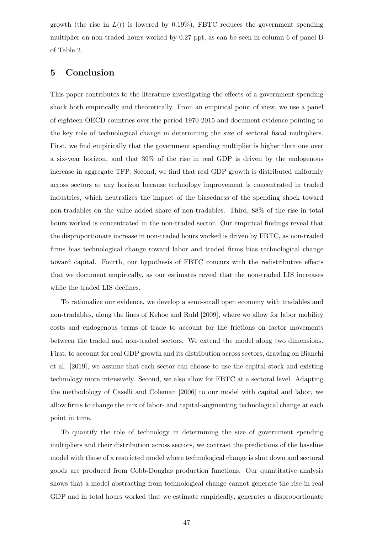growth (the rise in  $L(t)$  is lowered by 0.19%), FBTC reduces the government spending multiplier on non-traded hours worked by 0.27 ppt, as can be seen in column 6 of panel B of Table 2.

## 5 Conclusion

This paper contributes to the literature investigating the effects of a government spending shock both empirically and theoretically. From an empirical point of view, we use a panel of eighteen OECD countries over the period 1970-2015 and document evidence pointing to the key role of technological change in determining the size of sectoral fiscal multipliers. First, we find empirically that the government spending multiplier is higher than one over a six-year horizon, and that 39% of the rise in real GDP is driven by the endogenous increase in aggregate TFP. Second, we find that real GDP growth is distributed uniformly across sectors at any horizon because technology improvement is concentrated in traded industries, which neutralizes the impact of the biasedness of the spending shock toward non-tradables on the value added share of non-tradables. Third, 88% of the rise in total hours worked is concentrated in the non-traded sector. Our empirical findings reveal that the disproportionate increase in non-traded hours worked is driven by FBTC, as non-traded firms bias technological change toward labor and traded firms bias technological change toward capital. Fourth, our hypothesis of FBTC concurs with the redistributive effects that we document empirically, as our estimates reveal that the non-traded LIS increases while the traded LIS declines.

To rationalize our evidence, we develop a semi-small open economy with tradables and non-tradables, along the lines of Kehoe and Ruhl [2009], where we allow for labor mobility costs and endogenous terms of trade to account for the frictions on factor movements between the traded and non-traded sectors. We extend the model along two dimensions. First, to account for real GDP growth and its distribution across sectors, drawing on Bianchi et al. [2019], we assume that each sector can choose to use the capital stock and existing technology more intensively. Second, we also allow for FBTC at a sectoral level. Adapting the methodology of Caselli and Coleman [2006] to our model with capital and labor, we allow firms to change the mix of labor- and capital-augmenting technological change at each point in time.

To quantify the role of technology in determining the size of government spending multipliers and their distribution across sectors, we contrast the predictions of the baseline model with those of a restricted model where technological change is shut down and sectoral goods are produced from Cobb-Douglas production functions. Our quantitative analysis shows that a model abstracting from technological change cannot generate the rise in real GDP and in total hours worked that we estimate empirically, generates a disproportionate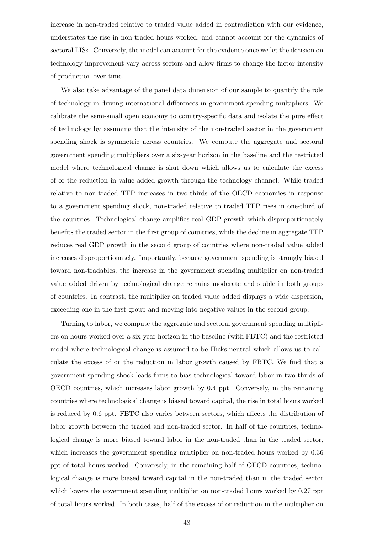increase in non-traded relative to traded value added in contradiction with our evidence, understates the rise in non-traded hours worked, and cannot account for the dynamics of sectoral LISs. Conversely, the model can account for the evidence once we let the decision on technology improvement vary across sectors and allow firms to change the factor intensity of production over time.

We also take advantage of the panel data dimension of our sample to quantify the role of technology in driving international differences in government spending multipliers. We calibrate the semi-small open economy to country-specific data and isolate the pure effect of technology by assuming that the intensity of the non-traded sector in the government spending shock is symmetric across countries. We compute the aggregate and sectoral government spending multipliers over a six-year horizon in the baseline and the restricted model where technological change is shut down which allows us to calculate the excess of or the reduction in value added growth through the technology channel. While traded relative to non-traded TFP increases in two-thirds of the OECD economies in response to a government spending shock, non-traded relative to traded TFP rises in one-third of the countries. Technological change amplifies real GDP growth which disproportionately benefits the traded sector in the first group of countries, while the decline in aggregate TFP reduces real GDP growth in the second group of countries where non-traded value added increases disproportionately. Importantly, because government spending is strongly biased toward non-tradables, the increase in the government spending multiplier on non-traded value added driven by technological change remains moderate and stable in both groups of countries. In contrast, the multiplier on traded value added displays a wide dispersion, exceeding one in the first group and moving into negative values in the second group.

Turning to labor, we compute the aggregate and sectoral government spending multipliers on hours worked over a six-year horizon in the baseline (with FBTC) and the restricted model where technological change is assumed to be Hicks-neutral which allows us to calculate the excess of or the reduction in labor growth caused by FBTC. We find that a government spending shock leads firms to bias technological toward labor in two-thirds of OECD countries, which increases labor growth by 0.4 ppt. Conversely, in the remaining countries where technological change is biased toward capital, the rise in total hours worked is reduced by 0.6 ppt. FBTC also varies between sectors, which affects the distribution of labor growth between the traded and non-traded sector. In half of the countries, technological change is more biased toward labor in the non-traded than in the traded sector, which increases the government spending multiplier on non-traded hours worked by 0.36 ppt of total hours worked. Conversely, in the remaining half of OECD countries, technological change is more biased toward capital in the non-traded than in the traded sector which lowers the government spending multiplier on non-traded hours worked by 0.27 ppt of total hours worked. In both cases, half of the excess of or reduction in the multiplier on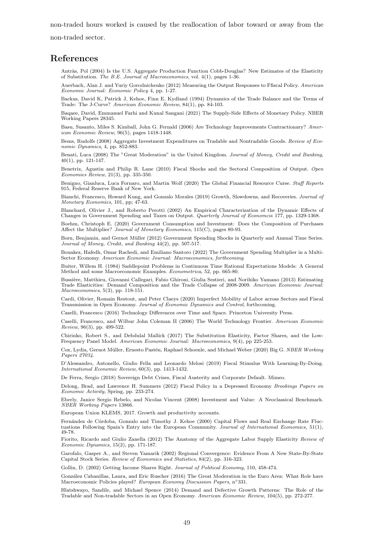non-traded hours worked is caused by the reallocation of labor toward or away from the

non-traded sector.

## References

Antràs, Pol (2004) Is the U.S. Aggregate Production Function Cobb-Douglas? New Estimates of the Elasticity of Substitution. The B.E. Journal of Macroeconomics, vol. 4(1), pages 1-36.

Auerbach, Alan J. and Yuriy Gorodnichenko (2012) Measuring the Output Responses to Ffiscal Policy. American Economic Journal: Economic Policy 4, pp. 1-27.

Backus, David K, Patrick J, Kehoe, Finn E. Kydland (1994) Dynamics of the Trade Balance and the Terms of Trade: The J-Curve? American Economic Review, 84(1), pp. 84-103.

Baqaee, David, Emmanuel Farhi and Kunal Sangani (2021) The Supply-Side Effects of Monetary Policy. NBER Working Papers 28345.

Basu, Susanto, Miles S. Kimball, John G. Fernald (2006) Are Technology Improvements Contractionary? American Economic Review, 96(5), pages 1418-1448.

Bems, Rudolfs (2008) Aggregate Investment Expenditures on Tradable and Nontradable Goods. Review of Economic Dynamics, 4, pp. 852-883.

Benati, Luca (2008) The "Great Moderation" in the United Kingdom. Journal of Money, Credit and Banking, 40(1), pp. 121-147.

Benetrix, Agustin and Philip R. Lane (2010) Fiscal Shocks and the Sectoral Composition of Output. Open Economies Review, 21(3), pp. 335-350.

Benigno, Gianluca, Luca Fornaro, and Martin Wolf (2020) The Global Financial Resource Curse. Staff Reports 915, Federal Reserve Bank of New York.

Bianchi, Francesco, Howard Kung, and Gonzalo Morales (2019) Growth, Slowdowns, and Recoveries. Journal of Monetary Economics, 101, pp; 47-63.

Blanchard, Olivier J., and Roberto Perotti (2002) An Empirical Characterization of the Dynamic Effects of Changes in Government Spending and Taxes on Output. Quarterly Journal of Economcis 177, pp. 1329-1368.

Boehm, Christoph E. (2020) Government Consumption and Investment: Does the Composition of Purchases Affect the Multiplier? Journal of Monetary Economics, 115(C), pages 80-93.

Born, Benjamin, and Gernot Müller (2012) Government Spending Shocks in Quarterly and Annual Time Series. Journal of Money, Credit, and Banking 44(2), pp. 507-517.

Bouakez, Hafedh, Omar Rachedi, and Emiliano Santoro (2022) The Government Spending Multiplier in a Multi-Sector Economy. American Economic Journal: Macroeconomics, forthcoming.

Buiter, Willem H. (1984) Saddlepoint Problems in Continuous Time Rational Expectations Models: A General Method and some Macroeconomic Examples. Econometrica, 52, pp. 665-80.

Bussière, Matthieu, Giovanni Callegari, Fabio Ghironi, Giulia Sestieri, and Norihiko Yamano (2013) Estimating Trade Elasticities: Demand Composition and the Trade Collapse of 2008-2009. American Economic Journal: Macroeconomics, 5(3), pp. 118-151.

Cardi, Olivier, Romain Restout, and Peter Claeys (2020) Imperfect Mobility of Labor across Sectors and Fiscal Transmission in Open Economy. Journal of Economic Dynamics and Control, forthcoming.

Caselli, Francesco (2016) Technology Differences over Time and Space. Princeton University Press.

Caselli, Francesco, and Wilbur John Coleman II (2006) The World Technology Frontier. American Economic Review, 96(3), pp. 499-522.

Chirinko, Robert S., and Debdulal Mallick (2017) The Substitution Elasticity, Factor Shares, and the Low-Frequency Panel Model. American Economic Journal: Macroeconomics, 9(4), pp 225-253.

Cox, Lydia, Gernot Müller, Ernesto Pastén, Raphael Schoenle, and Michael Weber (2020) Big G. NBER Working Papers 27034.

D'Alessandro, Antonello, Giulio Fella and Leonardo Melosi (2019) Fiscal Stimulus With Learning-By-Doing. International Economic Review, 60(3), pp. 1413-1432.

De Ferra, Sergio (2018) Sovereign Debt Crises, Fiscal Austerity and Corporate Default. Mimeo.

Delong, Brad, and Lawrence H. Summers (2012) Fiscal Policy in a Depressed Economy Brookings Papers on Economic Activity, Spring, pp. 233-274.

Eberly, Janice Sergio Rebelo, and Nicolas Vincent (2008) Investment and Value: A Neoclassical Benchmark. NBER Working Papers 13866.

European Union KLEMS, 2017. Growth and productivity accounts.

Fernández de Córdoba, Gonzalo and Timothy J. Kehoe (2000) Capital Flows and Real Exchange Rate Fluctuations Following Spain's Entry into the European Community. Journal of International Economics, 51(1), 49-78.

Fiorito, Ricardo and Giulio Zanella (2012) The Anatomy of the Aggregate Labor Supply Elasticity Review of Economic Dynamics, 15(2), pp. 171-187.

Garofalo, Gasper A., and Steven Yamarik (2002) Regional Convergence: Evidence From A New State-By-State Capital Stock Series. Review of Economics and Statistics, 84(2), pp. 316-323.

Gollin, D. (2002) Getting Income Shares Right. Journal of Political Economy, 110, 458-474.

Gonz´alez Cabanillas, Laura, and Eric Ruscher (2016) The Great Moderation in the Euro Area: What Role have Macroeconomic Policies played? European Economy Discussion Papers, n◦331.

Hlatshwayo, Sandile, and Michael Spence (2014) Demand and Defective Growth Patterns: The Role of the Tradable and Non-tradable Sectors in an Open Economy. American Economic Review, 104(5), pp. 272-277.